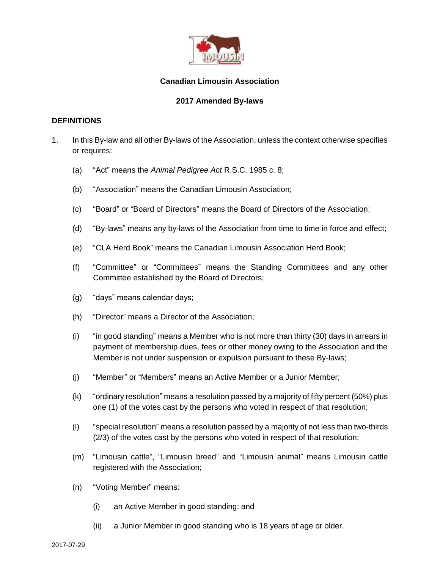

## **Canadian Limousin Association**

## **2017 Amended By-laws**

### **DEFINITIONS**

- 1. In this By-law and all other By-laws of the Association, unless the context otherwise specifies or requires:
	- (a) "Act" means the *Animal Pedigree Act* R.S.C. 1985 c. 8;
	- (b) "Association" means the Canadian Limousin Association;
	- (c) "Board" or "Board of Directors" means the Board of Directors of the Association;
	- (d) "By-laws" means any by-laws of the Association from time to time in force and effect;
	- (e) "CLA Herd Book" means the Canadian Limousin Association Herd Book;
	- (f) "Committee" or "Committees" means the Standing Committees and any other Committee established by the Board of Directors;
	- (g) "days" means calendar days;
	- (h) "Director" means a Director of the Association;
	- (i) "in good standing" means a Member who is not more than thirty (30) days in arrears in payment of membership dues, fees or other money owing to the Association and the Member is not under suspension or expulsion pursuant to these By-laws;
	- (j) "Member" or "Members" means an Active Member or a Junior Member;
	- (k) "ordinary resolution" means a resolution passed by a majority of fifty percent (50%) plus one (1) of the votes cast by the persons who voted in respect of that resolution;
	- (l) "special resolution" means a resolution passed by a majority of not less than two-thirds (2/3) of the votes cast by the persons who voted in respect of that resolution;
	- (m) "Limousin cattle", "Limousin breed" and "Limousin animal" means Limousin cattle registered with the Association;
	- (n) "Voting Member" means:
		- (i) an Active Member in good standing; and
		- (ii) a Junior Member in good standing who is 18 years of age or older.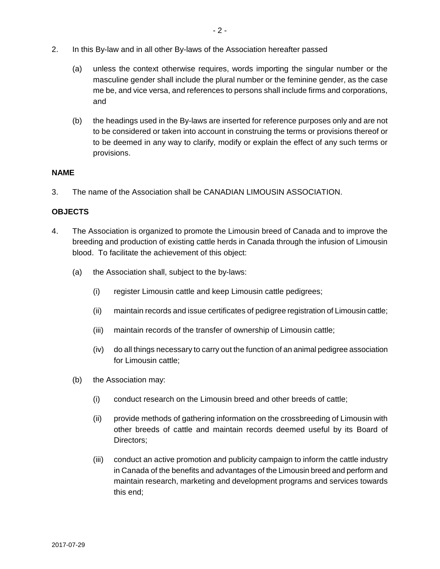- 2. In this By-law and in all other By-laws of the Association hereafter passed
	- (a) unless the context otherwise requires, words importing the singular number or the masculine gender shall include the plural number or the feminine gender, as the case me be, and vice versa, and references to persons shall include firms and corporations, and
	- (b) the headings used in the By-laws are inserted for reference purposes only and are not to be considered or taken into account in construing the terms or provisions thereof or to be deemed in any way to clarify, modify or explain the effect of any such terms or provisions.

#### **NAME**

3. The name of the Association shall be CANADIAN LIMOUSIN ASSOCIATION.

## **OBJECTS**

- 4. The Association is organized to promote the Limousin breed of Canada and to improve the breeding and production of existing cattle herds in Canada through the infusion of Limousin blood. To facilitate the achievement of this object:
	- (a) the Association shall, subject to the by-laws:
		- (i) register Limousin cattle and keep Limousin cattle pedigrees;
		- (ii) maintain records and issue certificates of pedigree registration of Limousin cattle;
		- (iii) maintain records of the transfer of ownership of Limousin cattle;
		- (iv) do all things necessary to carry out the function of an animal pedigree association for Limousin cattle;
	- (b) the Association may:
		- (i) conduct research on the Limousin breed and other breeds of cattle;
		- (ii) provide methods of gathering information on the crossbreeding of Limousin with other breeds of cattle and maintain records deemed useful by its Board of Directors;
		- (iii) conduct an active promotion and publicity campaign to inform the cattle industry in Canada of the benefits and advantages of the Limousin breed and perform and maintain research, marketing and development programs and services towards this end;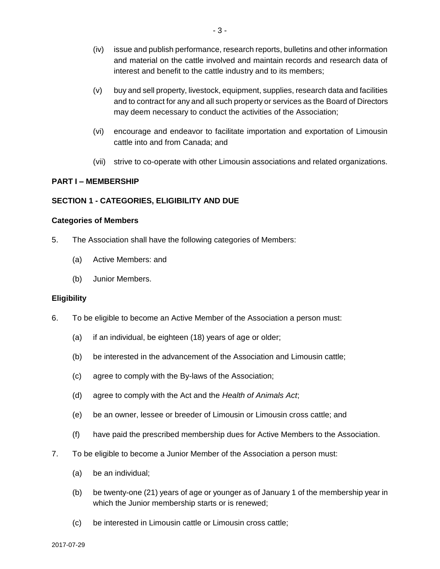- (iv) issue and publish performance, research reports, bulletins and other information and material on the cattle involved and maintain records and research data of interest and benefit to the cattle industry and to its members;
- (v) buy and sell property, livestock, equipment, supplies, research data and facilities and to contract for any and all such property or services as the Board of Directors may deem necessary to conduct the activities of the Association;
- (vi) encourage and endeavor to facilitate importation and exportation of Limousin cattle into and from Canada; and
- (vii) strive to co-operate with other Limousin associations and related organizations.

## **PART I – MEMBERSHIP**

## **SECTION 1 - CATEGORIES, ELIGIBILITY AND DUE**

#### **Categories of Members**

- 5. The Association shall have the following categories of Members:
	- (a) Active Members: and
	- (b) Junior Members.

#### **Eligibility**

- 6. To be eligible to become an Active Member of the Association a person must:
	- (a) if an individual, be eighteen (18) years of age or older;
	- (b) be interested in the advancement of the Association and Limousin cattle;
	- (c) agree to comply with the By-laws of the Association;
	- (d) agree to comply with the Act and the *Health of Animals Act*;
	- (e) be an owner, lessee or breeder of Limousin or Limousin cross cattle; and
	- (f) have paid the prescribed membership dues for Active Members to the Association.
- 7. To be eligible to become a Junior Member of the Association a person must:
	- (a) be an individual;
	- (b) be twenty-one (21) years of age or younger as of January 1 of the membership year in which the Junior membership starts or is renewed;
	- (c) be interested in Limousin cattle or Limousin cross cattle;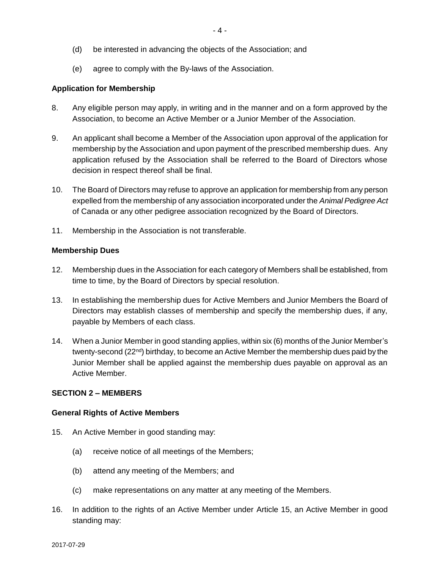- (d) be interested in advancing the objects of the Association; and
- (e) agree to comply with the By-laws of the Association.

### **Application for Membership**

- 8. Any eligible person may apply, in writing and in the manner and on a form approved by the Association, to become an Active Member or a Junior Member of the Association.
- 9. An applicant shall become a Member of the Association upon approval of the application for membership by the Association and upon payment of the prescribed membership dues. Any application refused by the Association shall be referred to the Board of Directors whose decision in respect thereof shall be final.
- 10. The Board of Directors may refuse to approve an application for membership from any person expelled from the membership of any association incorporated under the *Animal Pedigree Act*  of Canada or any other pedigree association recognized by the Board of Directors.
- 11. Membership in the Association is not transferable.

### **Membership Dues**

- 12. Membership dues in the Association for each category of Members shall be established, from time to time, by the Board of Directors by special resolution.
- 13. In establishing the membership dues for Active Members and Junior Members the Board of Directors may establish classes of membership and specify the membership dues, if any, payable by Members of each class.
- 14. When a Junior Member in good standing applies, within six (6) months of the Junior Member's twenty-second (22<sup>nd</sup>) birthday, to become an Active Member the membership dues paid by the Junior Member shall be applied against the membership dues payable on approval as an Active Member.

## **SECTION 2 – MEMBERS**

#### **General Rights of Active Members**

- <span id="page-3-0"></span>15. An Active Member in good standing may:
	- (a) receive notice of all meetings of the Members;
	- (b) attend any meeting of the Members; and
	- (c) make representations on any matter at any meeting of the Members.
- 16. In addition to the rights of an Active Member under Article [15,](#page-3-0) an Active Member in good standing may: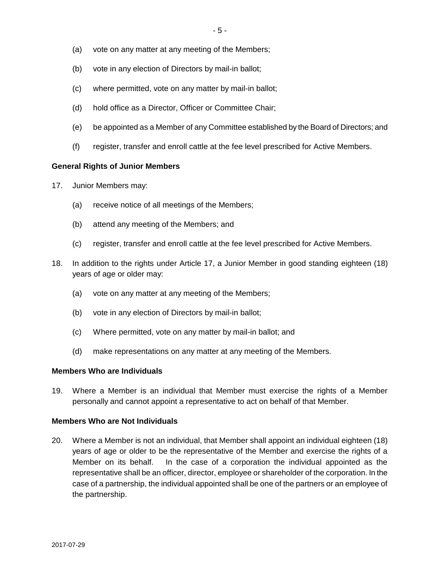- (a) vote on any matter at any meeting of the Members;
- (b) vote in any election of Directors by mail-in ballot;
- (c) where permitted, vote on any matter by mail-in ballot;
- (d) hold office as a Director, Officer or Committee Chair;
- (e) be appointed as a Member of any Committee established by the Board of Directors; and
- (f) register, transfer and enroll cattle at the fee level prescribed for Active Members.

#### **General Rights of Junior Members**

- <span id="page-4-0"></span>17. Junior Members may:
	- (a) receive notice of all meetings of the Members;
	- (b) attend any meeting of the Members; and
	- (c) register, transfer and enroll cattle at the fee level prescribed for Active Members.
- 18. In addition to the rights under Article [17,](#page-4-0) a Junior Member in good standing eighteen (18) years of age or older may:
	- (a) vote on any matter at any meeting of the Members;
	- (b) vote in any election of Directors by mail-in ballot;
	- (c) Where permitted, vote on any matter by mail-in ballot; and
	- (d) make representations on any matter at any meeting of the Members.

#### **Members Who are Individuals**

19. Where a Member is an individual that Member must exercise the rights of a Member personally and cannot appoint a representative to act on behalf of that Member.

#### **Members Who are Not Individuals**

20. Where a Member is not an individual, that Member shall appoint an individual eighteen (18) years of age or older to be the representative of the Member and exercise the rights of a Member on its behalf. In the case of a corporation the individual appointed as the representative shall be an officer, director, employee or shareholder of the corporation. In the case of a partnership, the individual appointed shall be one of the partners or an employee of the partnership.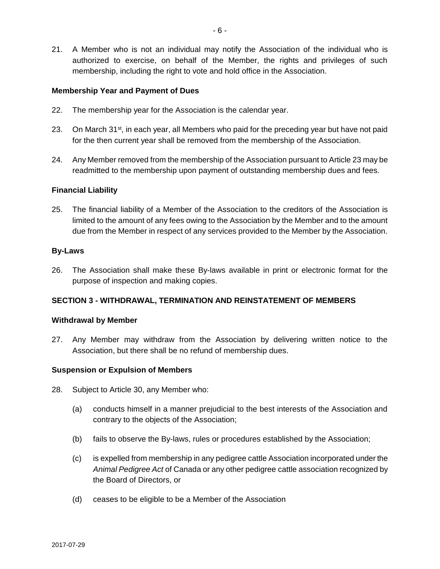21. A Member who is not an individual may notify the Association of the individual who is authorized to exercise, on behalf of the Member, the rights and privileges of such membership, including the right to vote and hold office in the Association.

### **Membership Year and Payment of Dues**

- 22. The membership year for the Association is the calendar year.
- <span id="page-5-0"></span>23. On March  $31<sup>st</sup>$ , in each year, all Members who paid for the preceding year but have not paid for the then current year shall be removed from the membership of the Association.
- 24. Any Member removed from the membership of the Association pursuant to Article [23](#page-5-0) may be readmitted to the membership upon payment of outstanding membership dues and fees.

#### **Financial Liability**

25. The financial liability of a Member of the Association to the creditors of the Association is limited to the amount of any fees owing to the Association by the Member and to the amount due from the Member in respect of any services provided to the Member by the Association.

### **By-Laws**

26. The Association shall make these By-laws available in print or electronic format for the purpose of inspection and making copies.

## **SECTION 3 - WITHDRAWAL, TERMINATION AND REINSTATEMENT OF MEMBERS**

### **Withdrawal by Member**

27. Any Member may withdraw from the Association by delivering written notice to the Association, but there shall be no refund of membership dues.

#### **Suspension or Expulsion of Members**

- <span id="page-5-1"></span>28. Subject to Article [30,](#page-6-0) any Member who:
	- (a) conducts himself in a manner prejudicial to the best interests of the Association and contrary to the objects of the Association;
	- (b) fails to observe the By-laws, rules or procedures established by the Association;
	- (c) is expelled from membership in any pedigree cattle Association incorporated under the *Animal Pedigree Act* of Canada or any other pedigree cattle association recognized by the Board of Directors, or
	- (d) ceases to be eligible to be a Member of the Association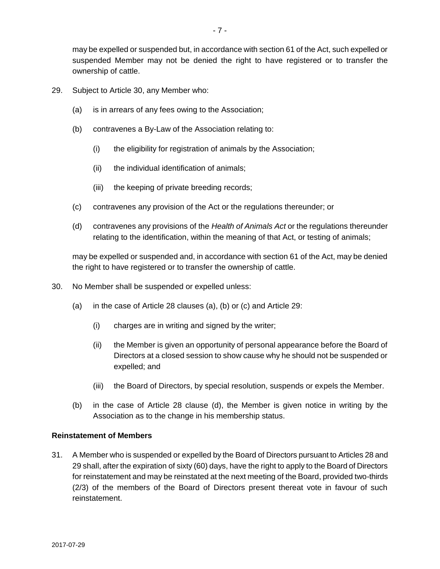may be expelled or suspended but, in accordance with section 61 of the Act, such expelled or suspended Member may not be denied the right to have registered or to transfer the ownership of cattle.

- <span id="page-6-1"></span>29. Subject to Article [30,](#page-6-0) any Member who:
	- (a) is in arrears of any fees owing to the Association;
	- (b) contravenes a By-Law of the Association relating to:
		- (i) the eligibility for registration of animals by the Association;
		- (ii) the individual identification of animals;
		- (iii) the keeping of private breeding records;
	- (c) contravenes any provision of the Act or the regulations thereunder; or
	- (d) contravenes any provisions of the *Health of Animals Act* or the regulations thereunder relating to the identification, within the meaning of that Act, or testing of animals;

may be expelled or suspended and, in accordance with section 61 of the Act, may be denied the right to have registered or to transfer the ownership of cattle.

- <span id="page-6-0"></span>30. No Member shall be suspended or expelled unless:
	- (a) in the case of Article [28](#page-5-1) clauses (a), (b) or (c) and Article [29:](#page-6-1)
		- (i) charges are in writing and signed by the writer;
		- (ii) the Member is given an opportunity of personal appearance before the Board of Directors at a closed session to show cause why he should not be suspended or expelled; and
		- (iii) the Board of Directors, by special resolution, suspends or expels the Member.
	- (b) in the case of Article [28](#page-5-1) clause (d), the Member is given notice in writing by the Association as to the change in his membership status.

#### **Reinstatement of Members**

31. A Member who is suspended or expelled by the Board of Directors pursuant to Articles [28](#page-5-1) and [29](#page-6-1) shall, after the expiration of sixty (60) days, have the right to apply to the Board of Directors for reinstatement and may be reinstated at the next meeting of the Board, provided two-thirds (2/3) of the members of the Board of Directors present thereat vote in favour of such reinstatement.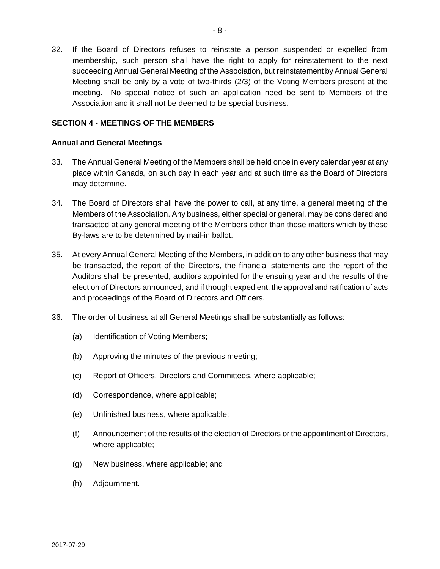32. If the Board of Directors refuses to reinstate a person suspended or expelled from membership, such person shall have the right to apply for reinstatement to the next succeeding Annual General Meeting of the Association, but reinstatement by Annual General Meeting shall be only by a vote of two-thirds (2/3) of the Voting Members present at the meeting. No special notice of such an application need be sent to Members of the Association and it shall not be deemed to be special business.

### **SECTION 4 - MEETINGS OF THE MEMBERS**

#### **Annual and General Meetings**

- 33. The Annual General Meeting of the Members shall be held once in every calendar year at any place within Canada, on such day in each year and at such time as the Board of Directors may determine.
- 34. The Board of Directors shall have the power to call, at any time, a general meeting of the Members of the Association. Any business, either special or general, may be considered and transacted at any general meeting of the Members other than those matters which by these By-laws are to be determined by mail-in ballot.
- 35. At every Annual General Meeting of the Members, in addition to any other business that may be transacted, the report of the Directors, the financial statements and the report of the Auditors shall be presented, auditors appointed for the ensuing year and the results of the election of Directors announced, and if thought expedient, the approval and ratification of acts and proceedings of the Board of Directors and Officers.
- 36. The order of business at all General Meetings shall be substantially as follows:
	- (a) Identification of Voting Members;
	- (b) Approving the minutes of the previous meeting;
	- (c) Report of Officers, Directors and Committees, where applicable;
	- (d) Correspondence, where applicable;
	- (e) Unfinished business, where applicable;
	- (f) Announcement of the results of the election of Directors or the appointment of Directors, where applicable;
	- (g) New business, where applicable; and
	- (h) Adjournment.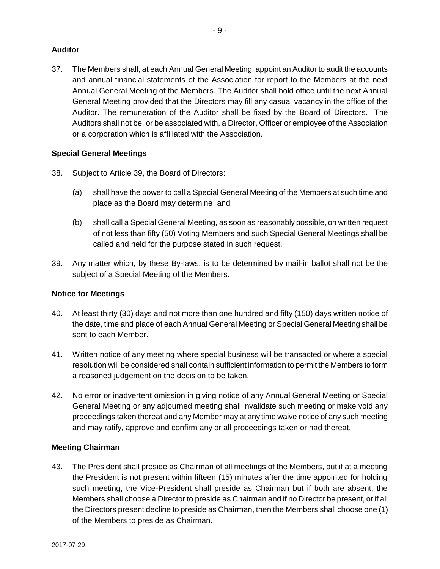## **Auditor**

37. The Members shall, at each Annual General Meeting, appoint an Auditor to audit the accounts and annual financial statements of the Association for report to the Members at the next Annual General Meeting of the Members. The Auditor shall hold office until the next Annual General Meeting provided that the Directors may fill any casual vacancy in the office of the Auditor. The remuneration of the Auditor shall be fixed by the Board of Directors. The Auditors shall not be, or be associated with, a Director, Officer or employee of the Association or a corporation which is affiliated with the Association.

## **Special General Meetings**

- 38. Subject to Article [39,](#page-8-0) the Board of Directors:
	- (a) shall have the power to call a Special General Meeting of the Members at such time and place as the Board may determine; and
	- (b) shall call a Special General Meeting, as soon as reasonably possible, on written request of not less than fifty (50) Voting Members and such Special General Meetings shall be called and held for the purpose stated in such request.
- <span id="page-8-0"></span>39. Any matter which, by these By-laws, is to be determined by mail-in ballot shall not be the subject of a Special Meeting of the Members.

## **Notice for Meetings**

- 40. At least thirty (30) days and not more than one hundred and fifty (150) days written notice of the date, time and place of each Annual General Meeting or Special General Meeting shall be sent to each Member.
- 41. Written notice of any meeting where special business will be transacted or where a special resolution will be considered shall contain sufficient information to permit the Members to form a reasoned judgement on the decision to be taken.
- 42. No error or inadvertent omission in giving notice of any Annual General Meeting or Special General Meeting or any adjourned meeting shall invalidate such meeting or make void any proceedings taken thereat and any Member may at any time waive notice of any such meeting and may ratify, approve and confirm any or all proceedings taken or had thereat.

## **Meeting Chairman**

43. The President shall preside as Chairman of all meetings of the Members, but if at a meeting the President is not present within fifteen (15) minutes after the time appointed for holding such meeting, the Vice-President shall preside as Chairman but if both are absent, the Members shall choose a Director to preside as Chairman and if no Director be present, or if all the Directors present decline to preside as Chairman, then the Members shall choose one (1) of the Members to preside as Chairman.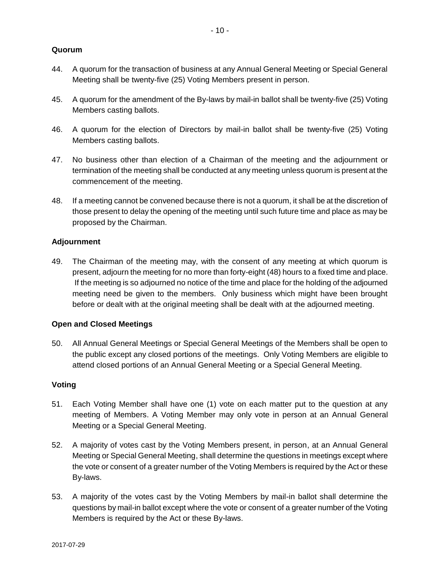### **Quorum**

- 44. A quorum for the transaction of business at any Annual General Meeting or Special General Meeting shall be twenty-five (25) Voting Members present in person.
- 45. A quorum for the amendment of the By-laws by mail-in ballot shall be twenty-five (25) Voting Members casting ballots.
- 46. A quorum for the election of Directors by mail-in ballot shall be twenty-five (25) Voting Members casting ballots.
- 47. No business other than election of a Chairman of the meeting and the adjournment or termination of the meeting shall be conducted at any meeting unless quorum is present at the commencement of the meeting.
- 48. If a meeting cannot be convened because there is not a quorum, it shall be at the discretion of those present to delay the opening of the meeting until such future time and place as may be proposed by the Chairman.

### **Adjournment**

49. The Chairman of the meeting may, with the consent of any meeting at which quorum is present, adjourn the meeting for no more than forty-eight (48) hours to a fixed time and place. If the meeting is so adjourned no notice of the time and place for the holding of the adjourned meeting need be given to the members. Only business which might have been brought before or dealt with at the original meeting shall be dealt with at the adjourned meeting.

## **Open and Closed Meetings**

50. All Annual General Meetings or Special General Meetings of the Members shall be open to the public except any closed portions of the meetings. Only Voting Members are eligible to attend closed portions of an Annual General Meeting or a Special General Meeting.

#### **Voting**

- 51. Each Voting Member shall have one (1) vote on each matter put to the question at any meeting of Members. A Voting Member may only vote in person at an Annual General Meeting or a Special General Meeting.
- 52. A majority of votes cast by the Voting Members present, in person, at an Annual General Meeting or Special General Meeting, shall determine the questions in meetings except where the vote or consent of a greater number of the Voting Members is required by the Act or these By-laws.
- 53. A majority of the votes cast by the Voting Members by mail-in ballot shall determine the questions by mail-in ballot except where the vote or consent of a greater number of the Voting Members is required by the Act or these By-laws.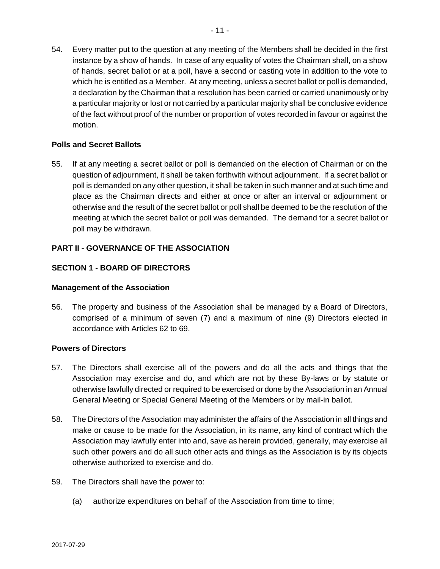54. Every matter put to the question at any meeting of the Members shall be decided in the first instance by a show of hands. In case of any equality of votes the Chairman shall, on a show of hands, secret ballot or at a poll, have a second or casting vote in addition to the vote to which he is entitled as a Member. At any meeting, unless a secret ballot or poll is demanded, a declaration by the Chairman that a resolution has been carried or carried unanimously or by a particular majority or lost or not carried by a particular majority shall be conclusive evidence of the fact without proof of the number or proportion of votes recorded in favour or against the motion.

## **Polls and Secret Ballots**

55. If at any meeting a secret ballot or poll is demanded on the election of Chairman or on the question of adjournment, it shall be taken forthwith without adjournment. If a secret ballot or poll is demanded on any other question, it shall be taken in such manner and at such time and place as the Chairman directs and either at once or after an interval or adjournment or otherwise and the result of the secret ballot or poll shall be deemed to be the resolution of the meeting at which the secret ballot or poll was demanded. The demand for a secret ballot or poll may be withdrawn.

## **PART II - GOVERNANCE OF THE ASSOCIATION**

### **SECTION 1 - BOARD OF DIRECTORS**

#### **Management of the Association**

56. The property and business of the Association shall be managed by a Board of Directors, comprised of a minimum of seven (7) and a maximum of nine (9) Directors elected in accordance with Articles [62](#page-11-0) to [69.](#page-14-0)

### **Powers of Directors**

- 57. The Directors shall exercise all of the powers and do all the acts and things that the Association may exercise and do, and which are not by these By-laws or by statute or otherwise lawfully directed or required to be exercised or done by the Association in an Annual General Meeting or Special General Meeting of the Members or by mail-in ballot.
- 58. The Directors of the Association may administer the affairs of the Association in all things and make or cause to be made for the Association, in its name, any kind of contract which the Association may lawfully enter into and, save as herein provided, generally, may exercise all such other powers and do all such other acts and things as the Association is by its objects otherwise authorized to exercise and do.
- 59. The Directors shall have the power to:
	- (a) authorize expenditures on behalf of the Association from time to time;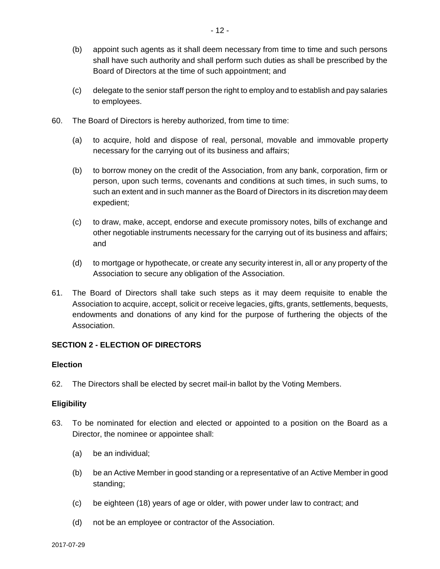- (b) appoint such agents as it shall deem necessary from time to time and such persons shall have such authority and shall perform such duties as shall be prescribed by the Board of Directors at the time of such appointment; and
- (c) delegate to the senior staff person the right to employ and to establish and pay salaries to employees.
- 60. The Board of Directors is hereby authorized, from time to time:
	- (a) to acquire, hold and dispose of real, personal, movable and immovable property necessary for the carrying out of its business and affairs;
	- (b) to borrow money on the credit of the Association, from any bank, corporation, firm or person, upon such terms, covenants and conditions at such times, in such sums, to such an extent and in such manner as the Board of Directors in its discretion may deem expedient;
	- (c) to draw, make, accept, endorse and execute promissory notes, bills of exchange and other negotiable instruments necessary for the carrying out of its business and affairs; and
	- (d) to mortgage or hypothecate, or create any security interest in, all or any property of the Association to secure any obligation of the Association.
- 61. The Board of Directors shall take such steps as it may deem requisite to enable the Association to acquire, accept, solicit or receive legacies, gifts, grants, settlements, bequests, endowments and donations of any kind for the purpose of furthering the objects of the Association.

## **SECTION 2 - ELECTION OF DIRECTORS**

## **Election**

<span id="page-11-0"></span>62. The Directors shall be elected by secret mail-in ballot by the Voting Members.

#### **Eligibility**

- 63. To be nominated for election and elected or appointed to a position on the Board as a Director, the nominee or appointee shall:
	- (a) be an individual;
	- (b) be an Active Member in good standing or a representative of an Active Member in good standing;
	- (c) be eighteen (18) years of age or older, with power under law to contract; and
	- (d) not be an employee or contractor of the Association.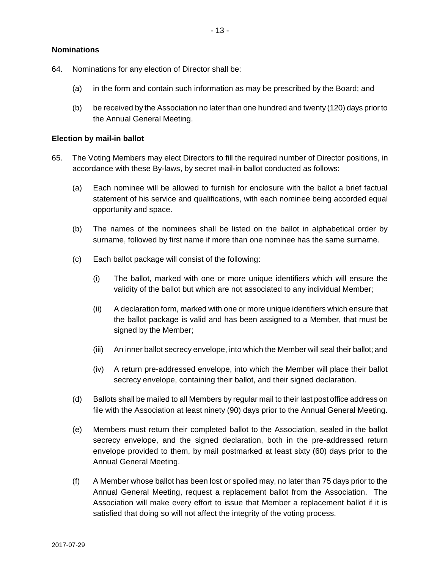## **Nominations**

- <span id="page-12-1"></span>64. Nominations for any election of Director shall be:
	- (a) in the form and contain such information as may be prescribed by the Board; and
	- (b) be received by the Association no later than one hundred and twenty (120) days prior to the Annual General Meeting.

### **Election by mail-in ballot**

- <span id="page-12-0"></span>65. The Voting Members may elect Directors to fill the required number of Director positions, in accordance with these By-laws, by secret mail-in ballot conducted as follows:
	- (a) Each nominee will be allowed to furnish for enclosure with the ballot a brief factual statement of his service and qualifications, with each nominee being accorded equal opportunity and space.
	- (b) The names of the nominees shall be listed on the ballot in alphabetical order by surname, followed by first name if more than one nominee has the same surname.
	- (c) Each ballot package will consist of the following:
		- (i) The ballot, marked with one or more unique identifiers which will ensure the validity of the ballot but which are not associated to any individual Member;
		- (ii) A declaration form, marked with one or more unique identifiers which ensure that the ballot package is valid and has been assigned to a Member, that must be signed by the Member;
		- (iii) An inner ballot secrecy envelope, into which the Member will seal their ballot; and
		- (iv) A return pre-addressed envelope, into which the Member will place their ballot secrecy envelope, containing their ballot, and their signed declaration.
	- (d) Ballots shall be mailed to all Members by regular mail to their last post office address on file with the Association at least ninety (90) days prior to the Annual General Meeting.
	- (e) Members must return their completed ballot to the Association, sealed in the ballot secrecy envelope, and the signed declaration, both in the pre-addressed return envelope provided to them, by mail postmarked at least sixty (60) days prior to the Annual General Meeting.
	- (f) A Member whose ballot has been lost or spoiled may, no later than 75 days prior to the Annual General Meeting, request a replacement ballot from the Association. The Association will make every effort to issue that Member a replacement ballot if it is satisfied that doing so will not affect the integrity of the voting process.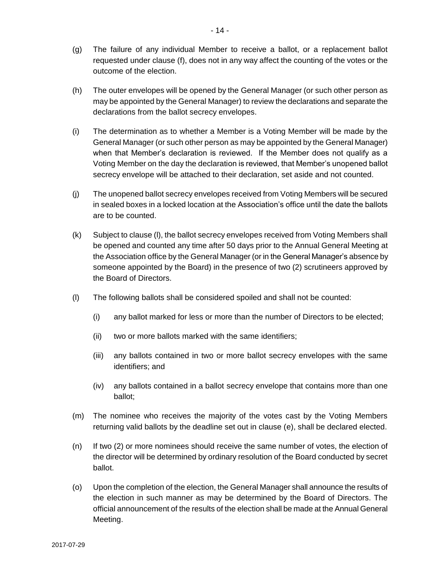- (g) The failure of any individual Member to receive a ballot, or a replacement ballot requested under clause (f), does not in any way affect the counting of the votes or the outcome of the election.
- (h) The outer envelopes will be opened by the General Manager (or such other person as may be appointed by the General Manager) to review the declarations and separate the declarations from the ballot secrecy envelopes.
- (i) The determination as to whether a Member is a Voting Member will be made by the General Manager (or such other person as may be appointed by the General Manager) when that Member's declaration is reviewed. If the Member does not qualify as a Voting Member on the day the declaration is reviewed, that Member's unopened ballot secrecy envelope will be attached to their declaration, set aside and not counted.
- (j) The unopened ballot secrecy envelopes received from Voting Members will be secured in sealed boxes in a locked location at the Association's office until the date the ballots are to be counted.
- (k) Subject to clause (l), the ballot secrecy envelopes received from Voting Members shall be opened and counted any time after 50 days prior to the Annual General Meeting at the Association office by the General Manager (or in the General Manager's absence by someone appointed by the Board) in the presence of two (2) scrutineers approved by the Board of Directors.
- (l) The following ballots shall be considered spoiled and shall not be counted:
	- (i) any ballot marked for less or more than the number of Directors to be elected;
	- (ii) two or more ballots marked with the same identifiers;
	- (iii) any ballots contained in two or more ballot secrecy envelopes with the same identifiers; and
	- (iv) any ballots contained in a ballot secrecy envelope that contains more than one ballot;
- (m) The nominee who receives the majority of the votes cast by the Voting Members returning valid ballots by the deadline set out in clause (e), shall be declared elected.
- (n) If two (2) or more nominees should receive the same number of votes, the election of the director will be determined by ordinary resolution of the Board conducted by secret ballot.
- (o) Upon the completion of the election, the General Manager shall announce the results of the election in such manner as may be determined by the Board of Directors. The official announcement of the results of the election shall be made at the Annual General Meeting.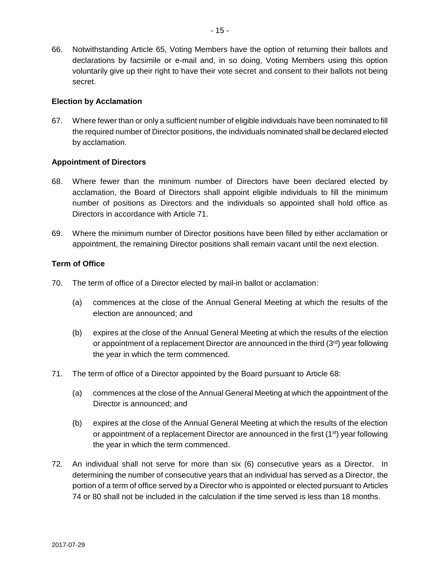66. Notwithstanding Article [65,](#page-12-0) Voting Members have the option of returning their ballots and declarations by facsimile or e-mail and, in so doing, Voting Members using this option voluntarily give up their right to have their vote secret and consent to their ballots not being secret.

### **Election by Acclamation**

67. Where fewer than or only a sufficient number of eligible individuals have been nominated to fill the required number of Director positions, the individuals nominated shall be declared elected by acclamation.

## **Appointment of Directors**

- <span id="page-14-2"></span>68. Where fewer than the minimum number of Directors have been declared elected by acclamation, the Board of Directors shall appoint eligible individuals to fill the minimum number of positions as Directors and the individuals so appointed shall hold office as Directors in accordance with Article [71.](#page-14-1)
- <span id="page-14-0"></span>69. Where the minimum number of Director positions have been filled by either acclamation or appointment, the remaining Director positions shall remain vacant until the next election.

### **Term of Office**

- 70. The term of office of a Director elected by mail-in ballot or acclamation:
	- (a) commences at the close of the Annual General Meeting at which the results of the election are announced; and
	- (b) expires at the close of the Annual General Meeting at which the results of the election or appointment of a replacement Director are announced in the third (3<sup>rd</sup>) year following the year in which the term commenced.
- <span id="page-14-1"></span>71. The term of office of a Director appointed by the Board pursuant to Article [68:](#page-14-2)
	- (a) commences at the close of the Annual General Meeting at which the appointment of the Director is announced; and
	- (b) expires at the close of the Annual General Meeting at which the results of the election or appointment of a replacement Director are announced in the first  $(1<sup>st</sup>)$  year following the year in which the term commenced.
- 72. An individual shall not serve for more than six (6) consecutive years as a Director. In determining the number of consecutive years that an individual has served as a Director, the portion of a term of office served by a Director who is appointed or elected pursuant to Articles [74](#page-15-0) or [80](#page-16-0) shall not be included in the calculation if the time served is less than 18 months.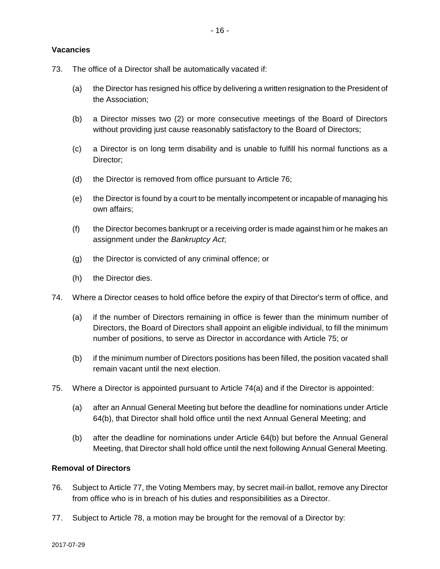## **Vacancies**

- 73. The office of a Director shall be automatically vacated if:
	- (a) the Director has resigned his office by delivering a written resignation to the President of the Association;
	- (b) a Director misses two (2) or more consecutive meetings of the Board of Directors without providing just cause reasonably satisfactory to the Board of Directors;
	- (c) a Director is on long term disability and is unable to fulfill his normal functions as a Director;
	- (d) the Director is removed from office pursuant to Article [76;](#page-15-1)
	- (e) the Director is found by a court to be mentally incompetent or incapable of managing his own affairs;
	- (f) the Director becomes bankrupt or a receiving order is made against him or he makes an assignment under the *Bankruptcy Act*;
	- (g) the Director is convicted of any criminal offence; or
	- (h) the Director dies.
- <span id="page-15-0"></span>74. Where a Director ceases to hold office before the expiry of that Director's term of office, and
	- (a) if the number of Directors remaining in office is fewer than the minimum number of Directors, the Board of Directors shall appoint an eligible individual, to fill the minimum number of positions, to serve as Director in accordance with Article [75;](#page-15-2) or
	- (b) if the minimum number of Directors positions has been filled, the position vacated shall remain vacant until the next election.
- <span id="page-15-2"></span>75. Where a Director is appointed pursuant to Article [74\(](#page-15-0)a) and if the Director is appointed:
	- (a) after an Annual General Meeting but before the deadline for nominations under Article [64\(](#page-12-1)b), that Director shall hold office until the next Annual General Meeting; and
	- (b) after the deadline for nominations under Article [64\(](#page-12-1)b) but before the Annual General Meeting, that Director shall hold office until the next following Annual General Meeting.

# **Removal of Directors**

- <span id="page-15-1"></span>76. Subject to Article [77,](#page-15-3) the Voting Members may, by secret mail-in ballot, remove any Director from office who is in breach of his duties and responsibilities as a Director.
- <span id="page-15-3"></span>77. Subject to Article [78,](#page-16-1) a motion may be brought for the removal of a Director by: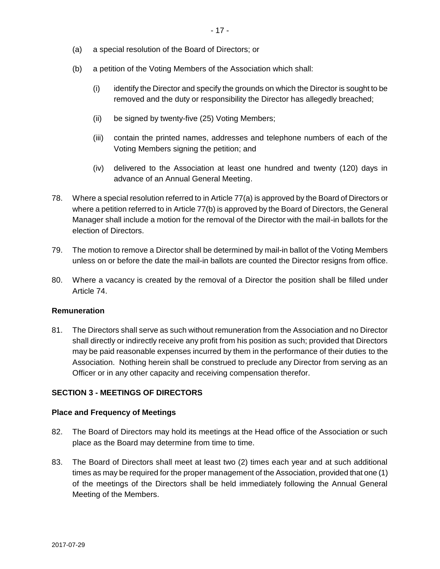- (a) a special resolution of the Board of Directors; or
- (b) a petition of the Voting Members of the Association which shall:
	- (i) identify the Director and specify the grounds on which the Director is sought to be removed and the duty or responsibility the Director has allegedly breached;
	- (ii) be signed by twenty-five (25) Voting Members;
	- (iii) contain the printed names, addresses and telephone numbers of each of the Voting Members signing the petition; and
	- (iv) delivered to the Association at least one hundred and twenty (120) days in advance of an Annual General Meeting.
- <span id="page-16-1"></span>78. Where a special resolution referred to in Article [77\(](#page-15-3)a) is approved by the Board of Directors or where a petition referred to in Article [77\(](#page-15-3)b) is approved by the Board of Directors, the General Manager shall include a motion for the removal of the Director with the mail-in ballots for the election of Directors.
- 79. The motion to remove a Director shall be determined by mail-in ballot of the Voting Members unless on or before the date the mail-in ballots are counted the Director resigns from office.
- <span id="page-16-0"></span>80. Where a vacancy is created by the removal of a Director the position shall be filled under Article [74.](#page-15-0)

#### **Remuneration**

81. The Directors shall serve as such without remuneration from the Association and no Director shall directly or indirectly receive any profit from his position as such; provided that Directors may be paid reasonable expenses incurred by them in the performance of their duties to the Association. Nothing herein shall be construed to preclude any Director from serving as an Officer or in any other capacity and receiving compensation therefor.

## **SECTION 3 - MEETINGS OF DIRECTORS**

#### **Place and Frequency of Meetings**

- 82. The Board of Directors may hold its meetings at the Head office of the Association or such place as the Board may determine from time to time.
- 83. The Board of Directors shall meet at least two (2) times each year and at such additional times as may be required for the proper management of the Association, provided that one (1) of the meetings of the Directors shall be held immediately following the Annual General Meeting of the Members.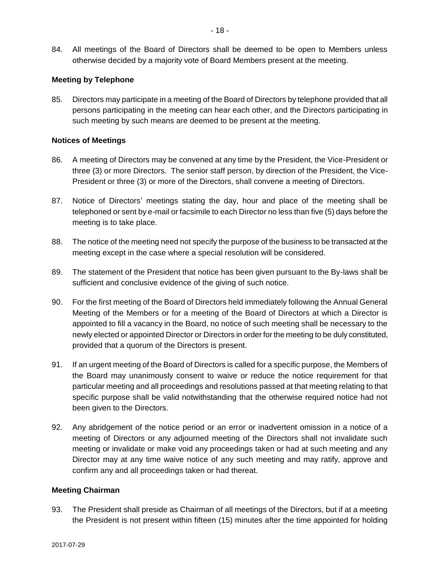84. All meetings of the Board of Directors shall be deemed to be open to Members unless otherwise decided by a majority vote of Board Members present at the meeting.

## **Meeting by Telephone**

85. Directors may participate in a meeting of the Board of Directors by telephone provided that all persons participating in the meeting can hear each other, and the Directors participating in such meeting by such means are deemed to be present at the meeting.

### **Notices of Meetings**

- 86. A meeting of Directors may be convened at any time by the President, the Vice-President or three (3) or more Directors. The senior staff person, by direction of the President, the Vice-President or three (3) or more of the Directors, shall convene a meeting of Directors.
- 87. Notice of Directors' meetings stating the day, hour and place of the meeting shall be telephoned or sent by e-mail or facsimile to each Director no less than five (5) days before the meeting is to take place.
- 88. The notice of the meeting need not specify the purpose of the business to be transacted at the meeting except in the case where a special resolution will be considered.
- 89. The statement of the President that notice has been given pursuant to the By-laws shall be sufficient and conclusive evidence of the giving of such notice.
- 90. For the first meeting of the Board of Directors held immediately following the Annual General Meeting of the Members or for a meeting of the Board of Directors at which a Director is appointed to fill a vacancy in the Board, no notice of such meeting shall be necessary to the newly elected or appointed Director or Directors in order for the meeting to be duly constituted, provided that a quorum of the Directors is present.
- 91. If an urgent meeting of the Board of Directors is called for a specific purpose, the Members of the Board may unanimously consent to waive or reduce the notice requirement for that particular meeting and all proceedings and resolutions passed at that meeting relating to that specific purpose shall be valid notwithstanding that the otherwise required notice had not been given to the Directors.
- 92. Any abridgement of the notice period or an error or inadvertent omission in a notice of a meeting of Directors or any adjourned meeting of the Directors shall not invalidate such meeting or invalidate or make void any proceedings taken or had at such meeting and any Director may at any time waive notice of any such meeting and may ratify, approve and confirm any and all proceedings taken or had thereat.

#### **Meeting Chairman**

93. The President shall preside as Chairman of all meetings of the Directors, but if at a meeting the President is not present within fifteen (15) minutes after the time appointed for holding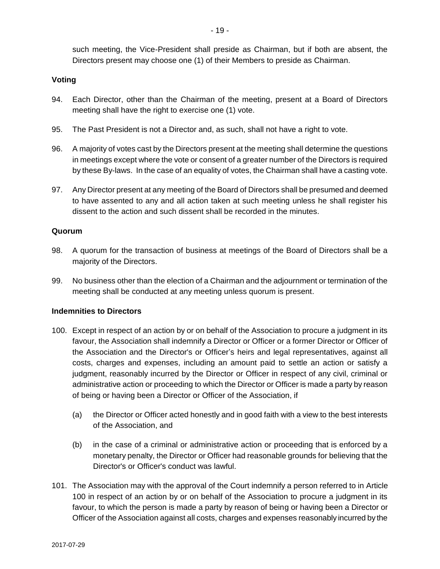such meeting, the Vice-President shall preside as Chairman, but if both are absent, the Directors present may choose one (1) of their Members to preside as Chairman.

## **Voting**

- 94. Each Director, other than the Chairman of the meeting, present at a Board of Directors meeting shall have the right to exercise one (1) vote.
- 95. The Past President is not a Director and, as such, shall not have a right to vote.
- 96. A majority of votes cast by the Directors present at the meeting shall determine the questions in meetings except where the vote or consent of a greater number of the Directors is required by these By-laws. In the case of an equality of votes, the Chairman shall have a casting vote.
- 97. Any Director present at any meeting of the Board of Directors shall be presumed and deemed to have assented to any and all action taken at such meeting unless he shall register his dissent to the action and such dissent shall be recorded in the minutes.

### **Quorum**

- 98. A quorum for the transaction of business at meetings of the Board of Directors shall be a majority of the Directors.
- 99. No business other than the election of a Chairman and the adjournment or termination of the meeting shall be conducted at any meeting unless quorum is present.

#### **Indemnities to Directors**

- <span id="page-18-0"></span>100. Except in respect of an action by or on behalf of the Association to procure a judgment in its favour, the Association shall indemnify a Director or Officer or a former Director or Officer of the Association and the Director's or Officer's heirs and legal representatives, against all costs, charges and expenses, including an amount paid to settle an action or satisfy a judgment, reasonably incurred by the Director or Officer in respect of any civil, criminal or administrative action or proceeding to which the Director or Officer is made a party by reason of being or having been a Director or Officer of the Association, if
	- (a) the Director or Officer acted honestly and in good faith with a view to the best interests of the Association, and
	- (b) in the case of a criminal or administrative action or proceeding that is enforced by a monetary penalty, the Director or Officer had reasonable grounds for believing that the Director's or Officer's conduct was lawful.
- <span id="page-18-1"></span>101. The Association may with the approval of the Court indemnify a person referred to in Article [100](#page-18-0) in respect of an action by or on behalf of the Association to procure a judgment in its favour, to which the person is made a party by reason of being or having been a Director or Officer of the Association against all costs, charges and expenses reasonably incurred by the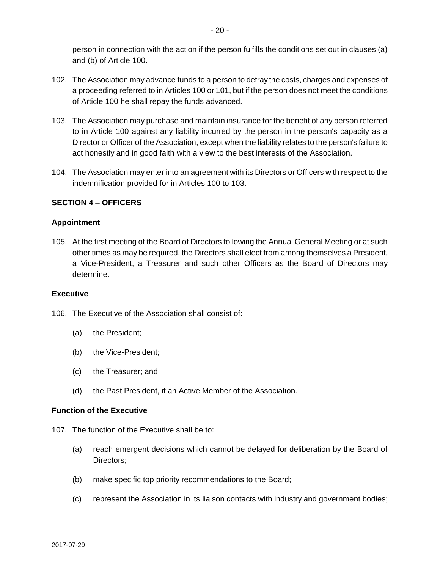person in connection with the action if the person fulfills the conditions set out in clauses (a) and (b) of Article [100.](#page-18-0)

- 102. The Association may advance funds to a person to defray the costs, charges and expenses of a proceeding referred to in Article[s 100](#page-18-0) o[r 101,](#page-18-1) but if the person does not meet the conditions of Article [100](#page-18-0) he shall repay the funds advanced.
- <span id="page-19-0"></span>103. The Association may purchase and maintain insurance for the benefit of any person referred to in Article [100](#page-18-0) against any liability incurred by the person in the person's capacity as a Director or Officer of the Association, except when the liability relates to the person's failure to act honestly and in good faith with a view to the best interests of the Association.
- 104. The Association may enter into an agreement with its Directors or Officers with respect to the indemnification provided for in Articles [100](#page-18-0) to [103.](#page-19-0)

## **SECTION 4 – OFFICERS**

### **Appointment**

105. At the first meeting of the Board of Directors following the Annual General Meeting or at such other times as may be required, the Directors shall elect from among themselves a President, a Vice-President, a Treasurer and such other Officers as the Board of Directors may determine.

### **Executive**

- 106. The Executive of the Association shall consist of:
	- (a) the President;
	- (b) the Vice-President;
	- (c) the Treasurer; and
	- (d) the Past President, if an Active Member of the Association.

#### **Function of the Executive**

- 107. The function of the Executive shall be to:
	- (a) reach emergent decisions which cannot be delayed for deliberation by the Board of Directors;
	- (b) make specific top priority recommendations to the Board;
	- (c) represent the Association in its liaison contacts with industry and government bodies;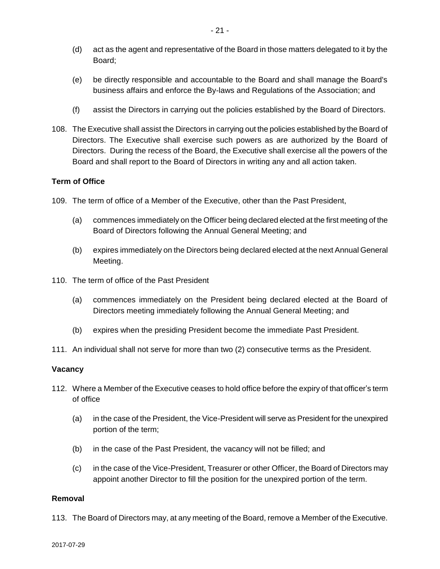- (d) act as the agent and representative of the Board in those matters delegated to it by the Board;
- (e) be directly responsible and accountable to the Board and shall manage the Board's business affairs and enforce the By-laws and Regulations of the Association; and
- (f) assist the Directors in carrying out the policies established by the Board of Directors.
- 108. The Executive shall assist the Directors in carrying out the policies established by the Board of Directors. The Executive shall exercise such powers as are authorized by the Board of Directors. During the recess of the Board, the Executive shall exercise all the powers of the Board and shall report to the Board of Directors in writing any and all action taken.

## **Term of Office**

- 109. The term of office of a Member of the Executive, other than the Past President,
	- (a) commences immediately on the Officer being declared elected at the first meeting of the Board of Directors following the Annual General Meeting; and
	- (b) expires immediately on the Directors being declared elected at the next Annual General Meeting.
- 110. The term of office of the Past President
	- (a) commences immediately on the President being declared elected at the Board of Directors meeting immediately following the Annual General Meeting; and
	- (b) expires when the presiding President become the immediate Past President.
- 111. An individual shall not serve for more than two (2) consecutive terms as the President.

## **Vacancy**

- <span id="page-20-0"></span>112. Where a Member of the Executive ceases to hold office before the expiry of that officer's term of office
	- (a) in the case of the President, the Vice-President will serve as President for the unexpired portion of the term;
	- (b) in the case of the Past President, the vacancy will not be filled; and
	- (c) in the case of the Vice-President, Treasurer or other Officer, the Board of Directors may appoint another Director to fill the position for the unexpired portion of the term.

#### **Removal**

113. The Board of Directors may, at any meeting of the Board, remove a Member of the Executive.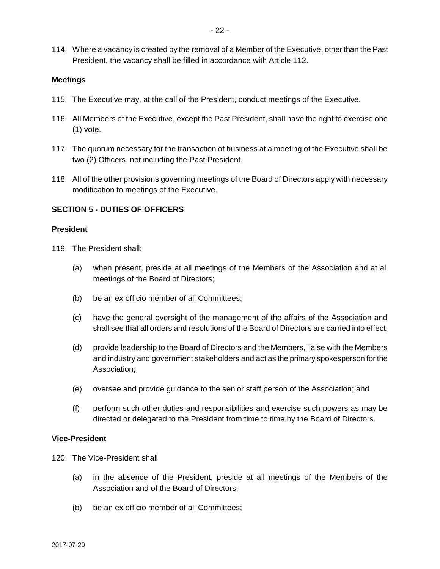114. Where a vacancy is created by the removal of a Member of the Executive, other than the Past President, the vacancy shall be filled in accordance with Article [112.](#page-20-0)

### **Meetings**

- 115. The Executive may, at the call of the President, conduct meetings of the Executive.
- 116. All Members of the Executive, except the Past President, shall have the right to exercise one (1) vote.
- 117. The quorum necessary for the transaction of business at a meeting of the Executive shall be two (2) Officers, not including the Past President.
- 118. All of the other provisions governing meetings of the Board of Directors apply with necessary modification to meetings of the Executive.

## **SECTION 5 - DUTIES OF OFFICERS**

#### **President**

- 119. The President shall:
	- (a) when present, preside at all meetings of the Members of the Association and at all meetings of the Board of Directors;
	- (b) be an ex officio member of all Committees;
	- (c) have the general oversight of the management of the affairs of the Association and shall see that all orders and resolutions of the Board of Directors are carried into effect;
	- (d) provide leadership to the Board of Directors and the Members, liaise with the Members and industry and government stakeholders and act as the primary spokesperson for the Association;
	- (e) oversee and provide guidance to the senior staff person of the Association; and
	- (f) perform such other duties and responsibilities and exercise such powers as may be directed or delegated to the President from time to time by the Board of Directors.

#### **Vice-President**

- 120. The Vice-President shall
	- (a) in the absence of the President, preside at all meetings of the Members of the Association and of the Board of Directors;
	- (b) be an ex officio member of all Committees;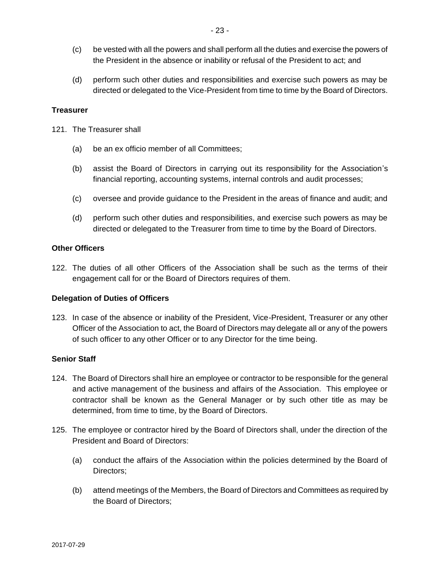- (c) be vested with all the powers and shall perform all the duties and exercise the powers of the President in the absence or inability or refusal of the President to act; and
- (d) perform such other duties and responsibilities and exercise such powers as may be directed or delegated to the Vice-President from time to time by the Board of Directors.

#### **Treasurer**

- 121. The Treasurer shall
	- (a) be an ex officio member of all Committees;
	- (b) assist the Board of Directors in carrying out its responsibility for the Association's financial reporting, accounting systems, internal controls and audit processes;
	- (c) oversee and provide guidance to the President in the areas of finance and audit; and
	- (d) perform such other duties and responsibilities, and exercise such powers as may be directed or delegated to the Treasurer from time to time by the Board of Directors.

## **Other Officers**

122. The duties of all other Officers of the Association shall be such as the terms of their engagement call for or the Board of Directors requires of them.

#### **Delegation of Duties of Officers**

123. In case of the absence or inability of the President, Vice-President, Treasurer or any other Officer of the Association to act, the Board of Directors may delegate all or any of the powers of such officer to any other Officer or to any Director for the time being.

#### **Senior Staff**

- 124. The Board of Directors shall hire an employee or contractor to be responsible for the general and active management of the business and affairs of the Association. This employee or contractor shall be known as the General Manager or by such other title as may be determined, from time to time, by the Board of Directors.
- 125. The employee or contractor hired by the Board of Directors shall, under the direction of the President and Board of Directors:
	- (a) conduct the affairs of the Association within the policies determined by the Board of Directors;
	- (b) attend meetings of the Members, the Board of Directors and Committees as required by the Board of Directors;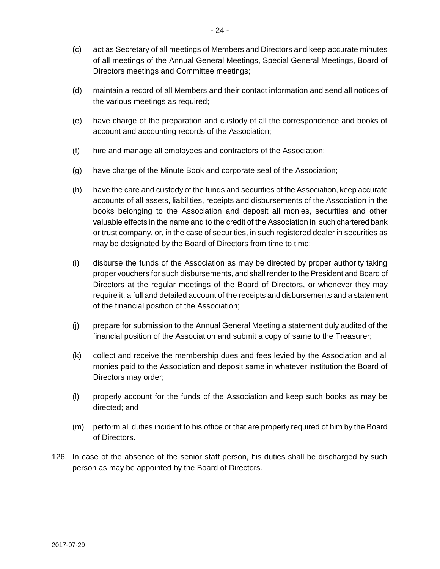- (c) act as Secretary of all meetings of Members and Directors and keep accurate minutes of all meetings of the Annual General Meetings, Special General Meetings, Board of Directors meetings and Committee meetings;
- (d) maintain a record of all Members and their contact information and send all notices of the various meetings as required;
- (e) have charge of the preparation and custody of all the correspondence and books of account and accounting records of the Association;
- (f) hire and manage all employees and contractors of the Association;
- (g) have charge of the Minute Book and corporate seal of the Association;
- (h) have the care and custody of the funds and securities of the Association, keep accurate accounts of all assets, liabilities, receipts and disbursements of the Association in the books belonging to the Association and deposit all monies, securities and other valuable effects in the name and to the credit of the Association in such chartered bank or trust company, or, in the case of securities, in such registered dealer in securities as may be designated by the Board of Directors from time to time;
- (i) disburse the funds of the Association as may be directed by proper authority taking proper vouchers for such disbursements, and shall render to the President and Board of Directors at the regular meetings of the Board of Directors, or whenever they may require it, a full and detailed account of the receipts and disbursements and a statement of the financial position of the Association;
- (j) prepare for submission to the Annual General Meeting a statement duly audited of the financial position of the Association and submit a copy of same to the Treasurer;
- (k) collect and receive the membership dues and fees levied by the Association and all monies paid to the Association and deposit same in whatever institution the Board of Directors may order;
- (l) properly account for the funds of the Association and keep such books as may be directed; and
- (m) perform all duties incident to his office or that are properly required of him by the Board of Directors.
- 126. In case of the absence of the senior staff person, his duties shall be discharged by such person as may be appointed by the Board of Directors.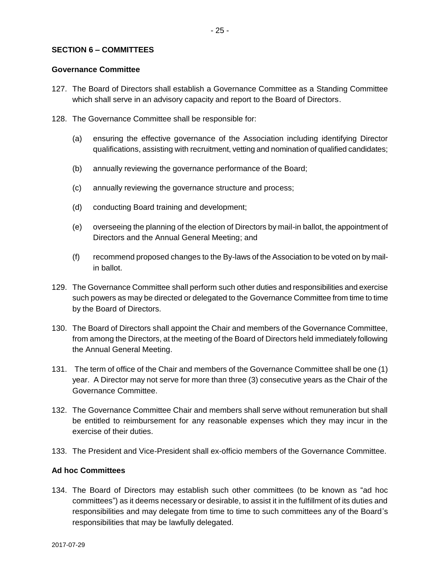### **SECTION 6 – COMMITTEES**

#### **Governance Committee**

- 127. The Board of Directors shall establish a Governance Committee as a Standing Committee which shall serve in an advisory capacity and report to the Board of Directors.
- 128. The Governance Committee shall be responsible for:
	- (a) ensuring the effective governance of the Association including identifying Director qualifications, assisting with recruitment, vetting and nomination of qualified candidates;
	- (b) annually reviewing the governance performance of the Board;
	- (c) annually reviewing the governance structure and process;
	- (d) conducting Board training and development;
	- (e) overseeing the planning of the election of Directors by mail-in ballot, the appointment of Directors and the Annual General Meeting; and
	- (f) recommend proposed changes to the By-laws of the Association to be voted on by mailin ballot.
- 129. The Governance Committee shall perform such other duties and responsibilities and exercise such powers as may be directed or delegated to the Governance Committee from time to time by the Board of Directors.
- 130. The Board of Directors shall appoint the Chair and members of the Governance Committee, from among the Directors, at the meeting of the Board of Directors held immediately following the Annual General Meeting.
- 131. The term of office of the Chair and members of the Governance Committee shall be one (1) year. A Director may not serve for more than three (3) consecutive years as the Chair of the Governance Committee.
- 132. The Governance Committee Chair and members shall serve without remuneration but shall be entitled to reimbursement for any reasonable expenses which they may incur in the exercise of their duties.
- 133. The President and Vice-President shall ex-officio members of the Governance Committee.

#### **Ad hoc Committees**

134. The Board of Directors may establish such other committees (to be known as "ad hoc committees") as it deems necessary or desirable, to assist it in the fulfillment of its duties and responsibilities and may delegate from time to time to such committees any of the Board's responsibilities that may be lawfully delegated.

2017-07-29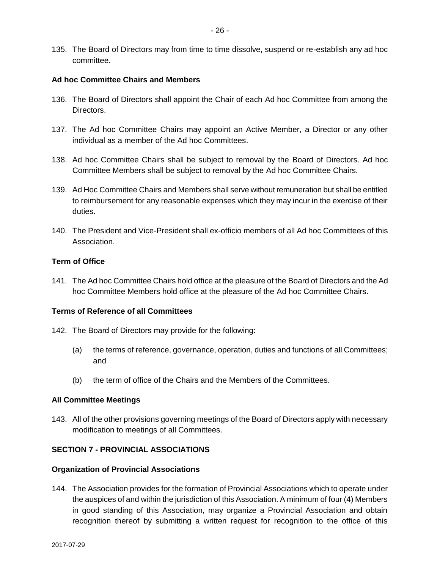135. The Board of Directors may from time to time dissolve, suspend or re-establish any ad hoc committee.

### **Ad hoc Committee Chairs and Members**

- 136. The Board of Directors shall appoint the Chair of each Ad hoc Committee from among the Directors.
- 137. The Ad hoc Committee Chairs may appoint an Active Member, a Director or any other individual as a member of the Ad hoc Committees.
- 138. Ad hoc Committee Chairs shall be subject to removal by the Board of Directors. Ad hoc Committee Members shall be subject to removal by the Ad hoc Committee Chairs.
- 139. Ad Hoc Committee Chairs and Members shall serve without remuneration but shall be entitled to reimbursement for any reasonable expenses which they may incur in the exercise of their duties.
- 140. The President and Vice-President shall ex-officio members of all Ad hoc Committees of this Association.

### **Term of Office**

141. The Ad hoc Committee Chairs hold office at the pleasure of the Board of Directors and the Ad hoc Committee Members hold office at the pleasure of the Ad hoc Committee Chairs.

#### **Terms of Reference of all Committees**

- 142. The Board of Directors may provide for the following:
	- (a) the terms of reference, governance, operation, duties and functions of all Committees; and
	- (b) the term of office of the Chairs and the Members of the Committees.

#### **All Committee Meetings**

143. All of the other provisions governing meetings of the Board of Directors apply with necessary modification to meetings of all Committees.

## **SECTION 7 - PROVINCIAL ASSOCIATIONS**

#### **Organization of Provincial Associations**

144. The Association provides for the formation of Provincial Associations which to operate under the auspices of and within the jurisdiction of this Association. A minimum of four (4) Members in good standing of this Association, may organize a Provincial Association and obtain recognition thereof by submitting a written request for recognition to the office of this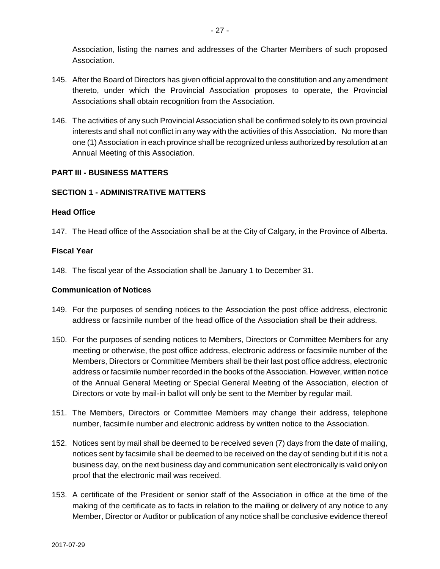Association, listing the names and addresses of the Charter Members of such proposed Association.

- 145. After the Board of Directors has given official approval to the constitution and any amendment thereto, under which the Provincial Association proposes to operate, the Provincial Associations shall obtain recognition from the Association.
- 146. The activities of any such Provincial Association shall be confirmed solely to its own provincial interests and shall not conflict in any way with the activities of this Association. No more than one (1) Association in each province shall be recognized unless authorized by resolution at an Annual Meeting of this Association.

## **PART III - BUSINESS MATTERS**

## **SECTION 1 - ADMINISTRATIVE MATTERS**

## **Head Office**

147. The Head office of the Association shall be at the City of Calgary, in the Province of Alberta.

## **Fiscal Year**

148. The fiscal year of the Association shall be January 1 to December 31.

## **Communication of Notices**

- 149. For the purposes of sending notices to the Association the post office address, electronic address or facsimile number of the head office of the Association shall be their address.
- 150. For the purposes of sending notices to Members, Directors or Committee Members for any meeting or otherwise, the post office address, electronic address or facsimile number of the Members, Directors or Committee Members shall be their last post office address, electronic address or facsimile number recorded in the books of the Association. However, written notice of the Annual General Meeting or Special General Meeting of the Association, election of Directors or vote by mail-in ballot will only be sent to the Member by regular mail.
- 151. The Members, Directors or Committee Members may change their address, telephone number, facsimile number and electronic address by written notice to the Association.
- 152. Notices sent by mail shall be deemed to be received seven (7) days from the date of mailing, notices sent by facsimile shall be deemed to be received on the day of sending but if it is not a business day, on the next business day and communication sent electronically is valid only on proof that the electronic mail was received.
- 153. A certificate of the President or senior staff of the Association in office at the time of the making of the certificate as to facts in relation to the mailing or delivery of any notice to any Member, Director or Auditor or publication of any notice shall be conclusive evidence thereof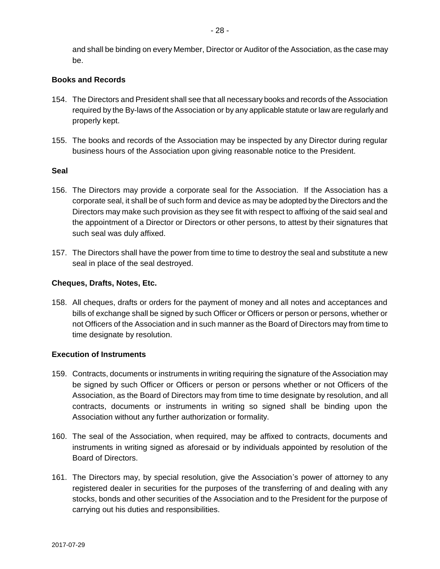## **Books and Records**

- 154. The Directors and President shall see that all necessary books and records of the Association required by the By-laws of the Association or by any applicable statute or law are regularly and properly kept.
- 155. The books and records of the Association may be inspected by any Director during regular business hours of the Association upon giving reasonable notice to the President.

## **Seal**

- 156. The Directors may provide a corporate seal for the Association. If the Association has a corporate seal, it shall be of such form and device as may be adopted by the Directors and the Directors may make such provision as they see fit with respect to affixing of the said seal and the appointment of a Director or Directors or other persons, to attest by their signatures that such seal was duly affixed.
- 157. The Directors shall have the power from time to time to destroy the seal and substitute a new seal in place of the seal destroyed.

### **Cheques, Drafts, Notes, Etc.**

158. All cheques, drafts or orders for the payment of money and all notes and acceptances and bills of exchange shall be signed by such Officer or Officers or person or persons, whether or not Officers of the Association and in such manner as the Board of Directors may from time to time designate by resolution.

## **Execution of Instruments**

- 159. Contracts, documents or instruments in writing requiring the signature of the Association may be signed by such Officer or Officers or person or persons whether or not Officers of the Association, as the Board of Directors may from time to time designate by resolution, and all contracts, documents or instruments in writing so signed shall be binding upon the Association without any further authorization or formality.
- 160. The seal of the Association, when required, may be affixed to contracts, documents and instruments in writing signed as aforesaid or by individuals appointed by resolution of the Board of Directors.
- 161. The Directors may, by special resolution, give the Association's power of attorney to any registered dealer in securities for the purposes of the transferring of and dealing with any stocks, bonds and other securities of the Association and to the President for the purpose of carrying out his duties and responsibilities.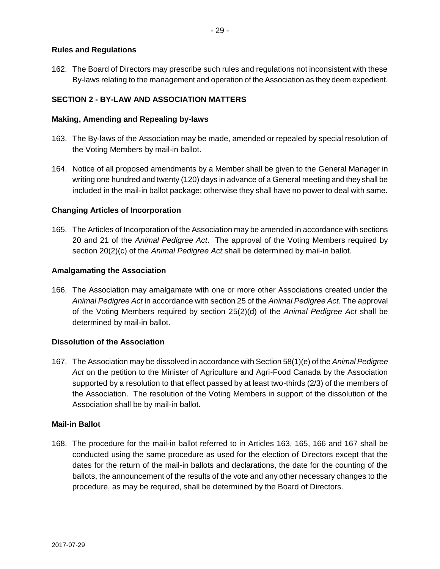### **Rules and Regulations**

162. The Board of Directors may prescribe such rules and regulations not inconsistent with these By-laws relating to the management and operation of the Association as they deem expedient.

## **SECTION 2 - BY-LAW AND ASSOCIATION MATTERS**

### **Making, Amending and Repealing by-laws**

- <span id="page-28-0"></span>163. The By-laws of the Association may be made, amended or repealed by special resolution of the Voting Members by mail-in ballot.
- 164. Notice of all proposed amendments by a Member shall be given to the General Manager in writing one hundred and twenty (120) days in advance of a General meeting and they shall be included in the mail-in ballot package; otherwise they shall have no power to deal with same.

### **Changing Articles of Incorporation**

<span id="page-28-1"></span>165. The Articles of Incorporation of the Association may be amended in accordance with sections 20 and 21 of the *Animal Pedigree Act*. The approval of the Voting Members required by section 20(2)(c) of the *Animal Pedigree Act* shall be determined by mail-in ballot.

### **Amalgamating the Association**

<span id="page-28-2"></span>166. The Association may amalgamate with one or more other Associations created under the *Animal Pedigree Act* in accordance with section 25 of the *Animal Pedigree Act*. The approval of the Voting Members required by section 25(2)(d) of the *Animal Pedigree Act* shall be determined by mail-in ballot.

## **Dissolution of the Association**

<span id="page-28-3"></span>167. The Association may be dissolved in accordance with Section 58(1)(e) of the *Animal Pedigree Act* on the petition to the Minister of Agriculture and Agri-Food Canada by the Association supported by a resolution to that effect passed by at least two-thirds (2/3) of the members of the Association. The resolution of the Voting Members in support of the dissolution of the Association shall be by mail-in ballot.

#### **Mail-in Ballot**

168. The procedure for the mail-in ballot referred to in Articles [163,](#page-28-0) [165,](#page-28-1) [166](#page-28-2) and [167](#page-28-3) shall be conducted using the same procedure as used for the election of Directors except that the dates for the return of the mail-in ballots and declarations, the date for the counting of the ballots, the announcement of the results of the vote and any other necessary changes to the procedure, as may be required, shall be determined by the Board of Directors.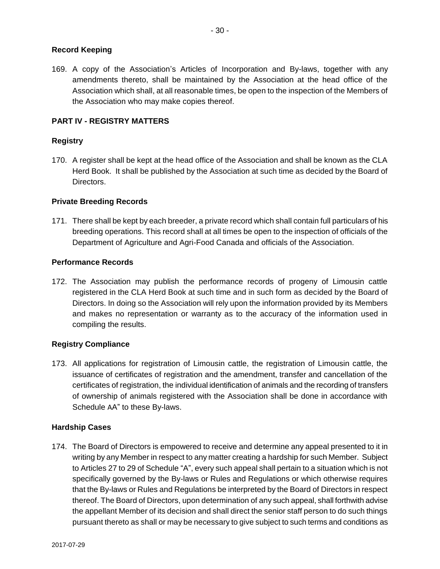## **Record Keeping**

169. A copy of the Association's Articles of Incorporation and By-laws, together with any amendments thereto, shall be maintained by the Association at the head office of the Association which shall, at all reasonable times, be open to the inspection of the Members of the Association who may make copies thereof.

## **PART IV - REGISTRY MATTERS**

## **Registry**

170. A register shall be kept at the head office of the Association and shall be known as the CLA Herd Book. It shall be published by the Association at such time as decided by the Board of Directors.

## **Private Breeding Records**

171. There shall be kept by each breeder, a private record which shall contain full particulars of his breeding operations. This record shall at all times be open to the inspection of officials of the Department of Agriculture and Agri-Food Canada and officials of the Association.

## **Performance Records**

172. The Association may publish the performance records of progeny of Limousin cattle registered in the CLA Herd Book at such time and in such form as decided by the Board of Directors. In doing so the Association will rely upon the information provided by its Members and makes no representation or warranty as to the accuracy of the information used in compiling the results.

## **Registry Compliance**

173. All applications for registration of Limousin cattle, the registration of Limousin cattle, the issuance of certificates of registration and the amendment, transfer and cancellation of the certificates of registration, the individual identification of animals and the recording of transfers of ownership of animals registered with the Association shall be done in accordance with Schedule AA" to these By-laws.

## **Hardship Cases**

174. The Board of Directors is empowered to receive and determine any appeal presented to it in writing by any Member in respect to any matter creating a hardship for such Member. Subject to Article[s 27](#page-36-0) t[o 29](#page-36-1) of Schedule "A", every such appeal shall pertain to a situation which is not specifically governed by the By-laws or Rules and Regulations or which otherwise requires that the By-laws or Rules and Regulations be interpreted by the Board of Directors in respect thereof. The Board of Directors, upon determination of any such appeal, shall forthwith advise the appellant Member of its decision and shall direct the senior staff person to do such things pursuant thereto as shall or may be necessary to give subject to such terms and conditions as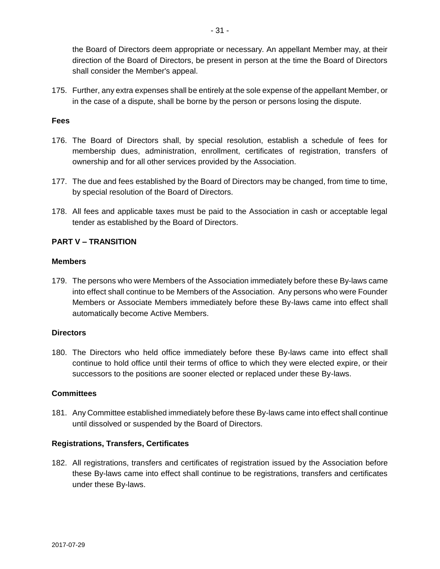the Board of Directors deem appropriate or necessary. An appellant Member may, at their direction of the Board of Directors, be present in person at the time the Board of Directors shall consider the Member's appeal.

175. Further, any extra expenses shall be entirely at the sole expense of the appellant Member, or in the case of a dispute, shall be borne by the person or persons losing the dispute.

### **Fees**

- 176. The Board of Directors shall, by special resolution, establish a schedule of fees for membership dues, administration, enrollment, certificates of registration, transfers of ownership and for all other services provided by the Association.
- 177. The due and fees established by the Board of Directors may be changed, from time to time, by special resolution of the Board of Directors.
- 178. All fees and applicable taxes must be paid to the Association in cash or acceptable legal tender as established by the Board of Directors.

### **PART V – TRANSITION**

### **Members**

179. The persons who were Members of the Association immediately before these By-laws came into effect shall continue to be Members of the Association. Any persons who were Founder Members or Associate Members immediately before these By-laws came into effect shall automatically become Active Members.

#### **Directors**

180. The Directors who held office immediately before these By-laws came into effect shall continue to hold office until their terms of office to which they were elected expire, or their successors to the positions are sooner elected or replaced under these By-laws.

#### **Committees**

181. Any Committee established immediately before these By-laws came into effect shall continue until dissolved or suspended by the Board of Directors.

## **Registrations, Transfers, Certificates**

182. All registrations, transfers and certificates of registration issued by the Association before these By-laws came into effect shall continue to be registrations, transfers and certificates under these By-laws.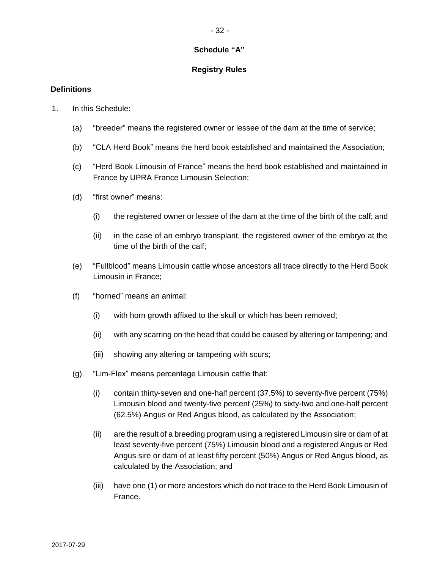# **Schedule "A"**

# **Registry Rules**

# **Definitions**

- 1. In this Schedule:
	- (a) "breeder" means the registered owner or lessee of the dam at the time of service;
	- (b) "CLA Herd Book" means the herd book established and maintained the Association;
	- (c) "Herd Book Limousin of France" means the herd book established and maintained in France by UPRA France Limousin Selection;
	- (d) "first owner" means:
		- (i) the registered owner or lessee of the dam at the time of the birth of the calf; and
		- (ii) in the case of an embryo transplant, the registered owner of the embryo at the time of the birth of the calf;
	- (e) "Fullblood" means Limousin cattle whose ancestors all trace directly to the Herd Book Limousin in France;
	- (f) "horned" means an animal:
		- (i) with horn growth affixed to the skull or which has been removed;
		- (ii) with any scarring on the head that could be caused by altering or tampering; and
		- (iii) showing any altering or tampering with scurs;
	- (g) "Lim-Flex" means percentage Limousin cattle that:
		- (i) contain thirty-seven and one-half percent (37.5%) to seventy-five percent (75%) Limousin blood and twenty-five percent (25%) to sixty-two and one-half percent (62.5%) Angus or Red Angus blood, as calculated by the Association;
		- (ii) are the result of a breeding program using a registered Limousin sire or dam of at least seventy-five percent (75%) Limousin blood and a registered Angus or Red Angus sire or dam of at least fifty percent (50%) Angus or Red Angus blood, as calculated by the Association; and
		- (iii) have one (1) or more ancestors which do not trace to the Herd Book Limousin of France.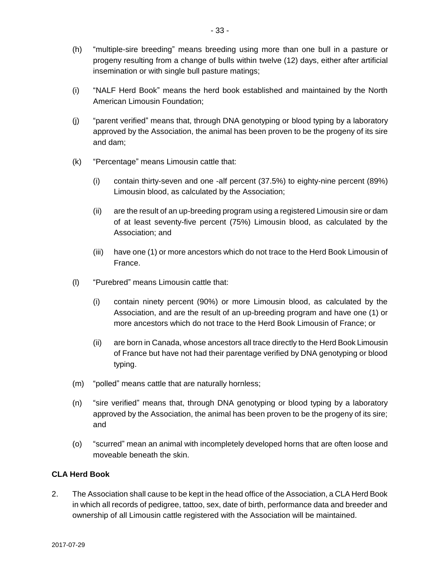- (h) "multiple-sire breeding" means breeding using more than one bull in a pasture or progeny resulting from a change of bulls within twelve (12) days, either after artificial insemination or with single bull pasture matings;
- (i) "NALF Herd Book" means the herd book established and maintained by the North American Limousin Foundation;
- (j) "parent verified" means that, through DNA genotyping or blood typing by a laboratory approved by the Association, the animal has been proven to be the progeny of its sire and dam;
- (k) "Percentage" means Limousin cattle that:
	- (i) contain thirty-seven and one -alf percent (37.5%) to eighty-nine percent (89%) Limousin blood, as calculated by the Association;
	- (ii) are the result of an up-breeding program using a registered Limousin sire or dam of at least seventy-five percent (75%) Limousin blood, as calculated by the Association; and
	- (iii) have one (1) or more ancestors which do not trace to the Herd Book Limousin of France.
- (l) "Purebred" means Limousin cattle that:
	- (i) contain ninety percent (90%) or more Limousin blood, as calculated by the Association, and are the result of an up-breeding program and have one (1) or more ancestors which do not trace to the Herd Book Limousin of France; or
	- (ii) are born in Canada, whose ancestors all trace directly to the Herd Book Limousin of France but have not had their parentage verified by DNA genotyping or blood typing.
- (m) "polled" means cattle that are naturally hornless;
- (n) "sire verified" means that, through DNA genotyping or blood typing by a laboratory approved by the Association, the animal has been proven to be the progeny of its sire; and
- (o) "scurred" mean an animal with incompletely developed horns that are often loose and moveable beneath the skin.

# **CLA Herd Book**

2. The Association shall cause to be kept in the head office of the Association, a CLA Herd Book in which all records of pedigree, tattoo, sex, date of birth, performance data and breeder and ownership of all Limousin cattle registered with the Association will be maintained.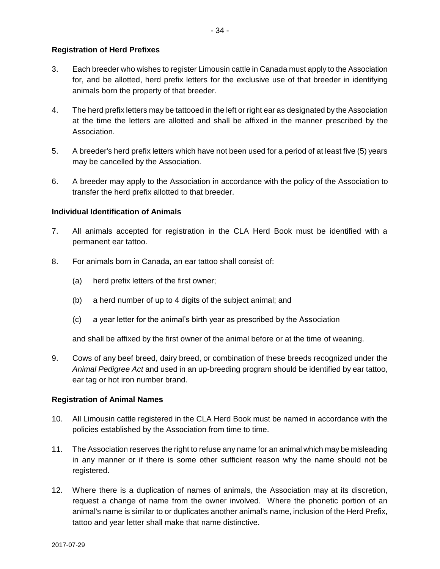## **Registration of Herd Prefixes**

- 3. Each breeder who wishes to register Limousin cattle in Canada must apply to the Association for, and be allotted, herd prefix letters for the exclusive use of that breeder in identifying animals born the property of that breeder.
- 4. The herd prefix letters may be tattooed in the left or right ear as designated by the Association at the time the letters are allotted and shall be affixed in the manner prescribed by the Association.
- 5. A breeder's herd prefix letters which have not been used for a period of at least five (5) years may be cancelled by the Association.
- 6. A breeder may apply to the Association in accordance with the policy of the Association to transfer the herd prefix allotted to that breeder.

### **Individual Identification of Animals**

- 7. All animals accepted for registration in the CLA Herd Book must be identified with a permanent ear tattoo.
- 8. For animals born in Canada, an ear tattoo shall consist of:
	- (a) herd prefix letters of the first owner;
	- (b) a herd number of up to 4 digits of the subject animal; and
	- (c) a year letter for the animal's birth year as prescribed by the Association

and shall be affixed by the first owner of the animal before or at the time of weaning.

9. Cows of any beef breed, dairy breed, or combination of these breeds recognized under the *Animal Pedigree Act* and used in an up-breeding program should be identified by ear tattoo, ear tag or hot iron number brand.

#### **Registration of Animal Names**

- 10. All Limousin cattle registered in the CLA Herd Book must be named in accordance with the policies established by the Association from time to time.
- 11. The Association reserves the right to refuse any name for an animal which may be misleading in any manner or if there is some other sufficient reason why the name should not be registered.
- 12. Where there is a duplication of names of animals, the Association may at its discretion, request a change of name from the owner involved. Where the phonetic portion of an animal's name is similar to or duplicates another animal's name, inclusion of the Herd Prefix, tattoo and year letter shall make that name distinctive.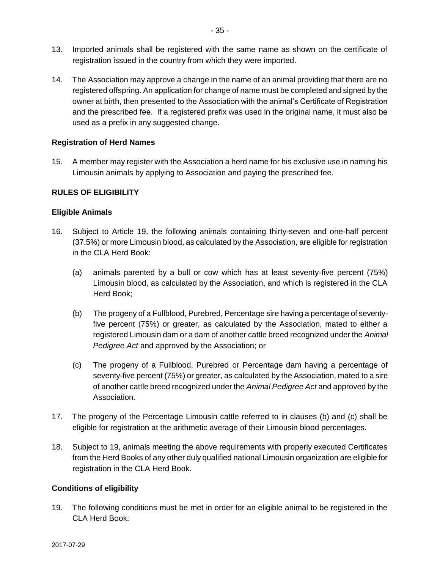- 13. Imported animals shall be registered with the same name as shown on the certificate of registration issued in the country from which they were imported.
- 14. The Association may approve a change in the name of an animal providing that there are no registered offspring. An application for change of name must be completed and signed by the owner at birth, then presented to the Association with the animal's Certificate of Registration and the prescribed fee. If a registered prefix was used in the original name, it must also be used as a prefix in any suggested change.

### **Registration of Herd Names**

15. A member may register with the Association a herd name for his exclusive use in naming his Limousin animals by applying to Association and paying the prescribed fee.

### **RULES OF ELIGIBILITY**

### **Eligible Animals**

- 16. Subject to Article [19,](#page-34-0) the following animals containing thirty-seven and one-half percent (37.5%) or more Limousin blood, as calculated by the Association, are eligible for registration in the CLA Herd Book:
	- (a) animals parented by a bull or cow which has at least seventy-five percent (75%) Limousin blood, as calculated by the Association, and which is registered in the CLA Herd Book;
	- (b) The progeny of a Fullblood, Purebred, Percentage sire having a percentage of seventyfive percent (75%) or greater, as calculated by the Association, mated to either a registered Limousin dam or a dam of another cattle breed recognized under the *Animal Pedigree Act* and approved by the Association; or
	- (c) The progeny of a Fullblood, Purebred or Percentage dam having a percentage of seventy-five percent (75%) or greater, as calculated by the Association, mated to a sire of another cattle breed recognized under the *Animal Pedigree Act* and approved by the Association.
- 17. The progeny of the Percentage Limousin cattle referred to in clauses (b) and (c) shall be eligible for registration at the arithmetic average of their Limousin blood percentages.
- 18. Subject to 19, animals meeting the above requirements with properly executed Certificates from the Herd Books of any other duly qualified national Limousin organization are eligible for registration in the CLA Herd Book.

#### **Conditions of eligibility**

<span id="page-34-0"></span>19. The following conditions must be met in order for an eligible animal to be registered in the CLA Herd Book: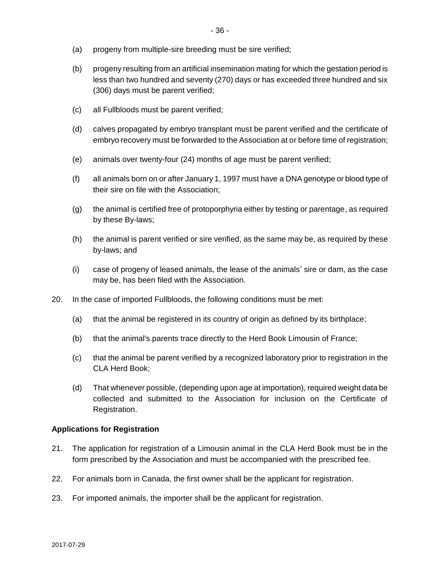- (a) progeny from multiple-sire breeding must be sire verified;
- (b) progeny resulting from an artificial insemination mating for which the gestation period is less than two hundred and seventy (270) days or has exceeded three hundred and six (306) days must be parent verified;
- (c) all Fullbloods must be parent verified;
- (d) calves propagated by embryo transplant must be parent verified and the certificate of embryo recovery must be forwarded to the Association at or before time of registration;
- (e) animals over twenty-four (24) months of age must be parent verified;
- (f) all animals born on or after January 1, 1997 must have a DNA genotype or blood type of their sire on file with the Association;
- (g) the animal is certified free of protoporphyria either by testing or parentage, as required by these By-laws;
- (h) the animal is parent verified or sire verified, as the same may be, as required by these by-laws; and
- (i) case of progeny of leased animals, the lease of the animals' sire or dam, as the case may be, has been filed with the Association.
- 20. In the case of imported Fullbloods, the following conditions must be met:
	- (a) that the animal be registered in its country of origin as defined by its birthplace;
	- (b) that the animal's parents trace directly to the Herd Book Limousin of France;
	- (c) that the animal be parent verified by a recognized laboratory prior to registration in the CLA Herd Book;
	- (d) That whenever possible, (depending upon age at importation), required weight data be collected and submitted to the Association for inclusion on the Certificate of Registration.

#### **Applications for Registration**

- 21. The application for registration of a Limousin animal in the CLA Herd Book must be in the form prescribed by the Association and must be accompanied with the prescribed fee.
- 22. For animals born in Canada, the first owner shall be the applicant for registration.
- 23. For imported animals, the importer shall be the applicant for registration.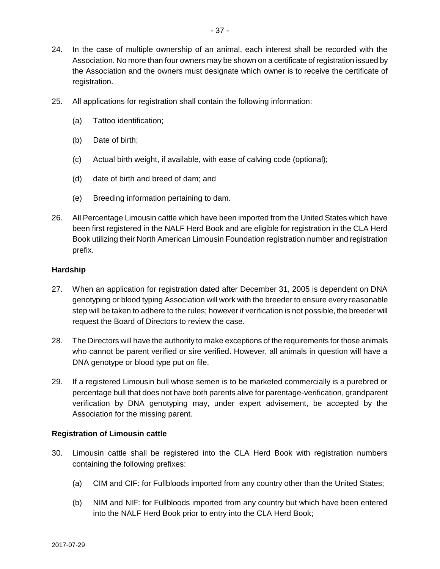- 25. All applications for registration shall contain the following information:
	- (a) Tattoo identification;
	- (b) Date of birth;
	- (c) Actual birth weight, if available, with ease of calving code (optional);
	- (d) date of birth and breed of dam; and
	- (e) Breeding information pertaining to dam.
- 26. All Percentage Limousin cattle which have been imported from the United States which have been first registered in the NALF Herd Book and are eligible for registration in the CLA Herd Book utilizing their North American Limousin Foundation registration number and registration prefix.

## **Hardship**

- <span id="page-36-0"></span>27. When an application for registration dated after December 31, 2005 is dependent on DNA genotyping or blood typing Association will work with the breeder to ensure every reasonable step will be taken to adhere to the rules; however if verification is not possible, the breeder will request the Board of Directors to review the case.
- 28. The Directors will have the authority to make exceptions of the requirements for those animals who cannot be parent verified or sire verified. However, all animals in question will have a DNA genotype or blood type put on file.
- <span id="page-36-1"></span>29. If a registered Limousin bull whose semen is to be marketed commercially is a purebred or percentage bull that does not have both parents alive for parentage-verification, grandparent verification by DNA genotyping may, under expert advisement, be accepted by the Association for the missing parent.

## **Registration of Limousin cattle**

- <span id="page-36-2"></span>30. Limousin cattle shall be registered into the CLA Herd Book with registration numbers containing the following prefixes:
	- (a) CIM and CIF: for Fullbloods imported from any country other than the United States;
	- (b) NIM and NIF: for Fullbloods imported from any country but which have been entered into the NALF Herd Book prior to entry into the CLA Herd Book;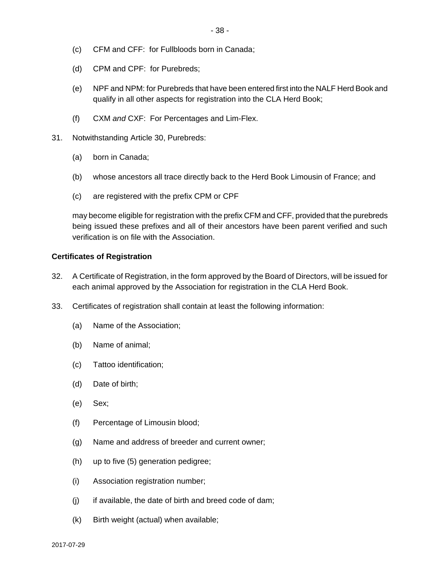- (c) CFM and CFF: for Fullbloods born in Canada;
- (d) CPM and CPF: for Purebreds;
- (e) NPF and NPM: for Purebreds that have been entered first into the NALF Herd Book and qualify in all other aspects for registration into the CLA Herd Book;
- (f) CXM *and* CXF: For Percentages and Lim-Flex.
- 31. Notwithstanding Article [30,](#page-36-2) Purebreds:
	- (a) born in Canada;
	- (b) whose ancestors all trace directly back to the Herd Book Limousin of France; and
	- (c) are registered with the prefix CPM or CPF

may become eligible for registration with the prefix CFM and CFF, provided that the purebreds being issued these prefixes and all of their ancestors have been parent verified and such verification is on file with the Association.

### **Certificates of Registration**

- 32. A Certificate of Registration, in the form approved by the Board of Directors, will be issued for each animal approved by the Association for registration in the CLA Herd Book.
- 33. Certificates of registration shall contain at least the following information:
	- (a) Name of the Association;
	- (b) Name of animal;
	- (c) Tattoo identification;
	- (d) Date of birth;
	- (e) Sex;
	- (f) Percentage of Limousin blood;
	- (g) Name and address of breeder and current owner;
	- (h) up to five (5) generation pedigree;
	- (i) Association registration number;
	- $(j)$  if available, the date of birth and breed code of dam;
	- (k) Birth weight (actual) when available;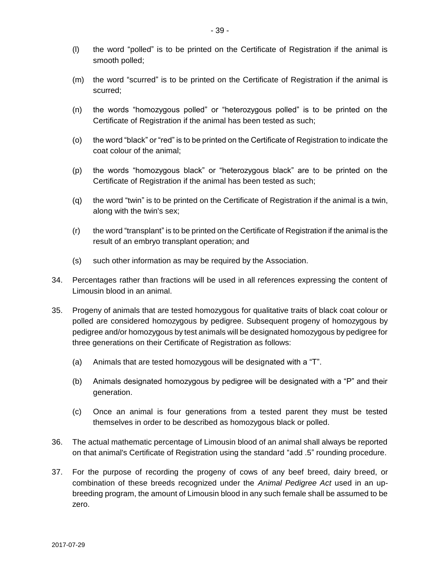- (l) the word "polled" is to be printed on the Certificate of Registration if the animal is smooth polled;
- (m) the word "scurred" is to be printed on the Certificate of Registration if the animal is scurred;
- (n) the words "homozygous polled" or "heterozygous polled" is to be printed on the Certificate of Registration if the animal has been tested as such;
- (o) the word "black" or "red" is to be printed on the Certificate of Registration to indicate the coat colour of the animal;
- (p) the words "homozygous black" or "heterozygous black" are to be printed on the Certificate of Registration if the animal has been tested as such;
- (q) the word "twin" is to be printed on the Certificate of Registration if the animal is a twin, along with the twin's sex;
- (r) the word "transplant" is to be printed on the Certificate of Registration if the animal is the result of an embryo transplant operation; and
- (s) such other information as may be required by the Association.
- 34. Percentages rather than fractions will be used in all references expressing the content of Limousin blood in an animal.
- 35. Progeny of animals that are tested homozygous for qualitative traits of black coat colour or polled are considered homozygous by pedigree. Subsequent progeny of homozygous by pedigree and/or homozygous by test animals will be designated homozygous by pedigree for three generations on their Certificate of Registration as follows:
	- (a) Animals that are tested homozygous will be designated with a "T".
	- (b) Animals designated homozygous by pedigree will be designated with a "P" and their generation.
	- (c) Once an animal is four generations from a tested parent they must be tested themselves in order to be described as homozygous black or polled.
- 36. The actual mathematic percentage of Limousin blood of an animal shall always be reported on that animal's Certificate of Registration using the standard "add .5" rounding procedure.
- 37. For the purpose of recording the progeny of cows of any beef breed, dairy breed, or combination of these breeds recognized under the *Animal Pedigree Act* used in an upbreeding program, the amount of Limousin blood in any such female shall be assumed to be zero.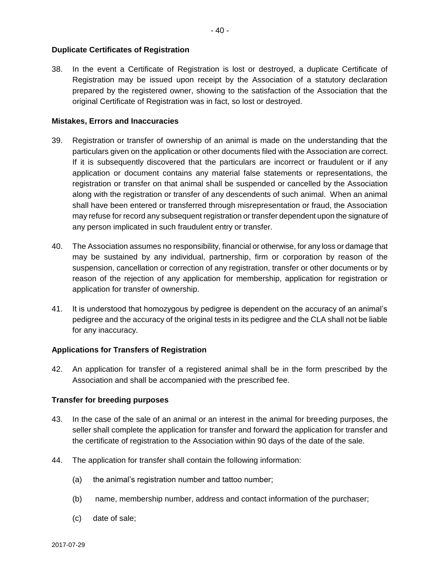### **Duplicate Certificates of Registration**

38. In the event a Certificate of Registration is lost or destroyed, a duplicate Certificate of Registration may be issued upon receipt by the Association of a statutory declaration prepared by the registered owner, showing to the satisfaction of the Association that the original Certificate of Registration was in fact, so lost or destroyed.

### **Mistakes, Errors and Inaccuracies**

- 39. Registration or transfer of ownership of an animal is made on the understanding that the particulars given on the application or other documents filed with the Association are correct. If it is subsequently discovered that the particulars are incorrect or fraudulent or if any application or document contains any material false statements or representations, the registration or transfer on that animal shall be suspended or cancelled by the Association along with the registration or transfer of any descendents of such animal. When an animal shall have been entered or transferred through misrepresentation or fraud, the Association may refuse for record any subsequent registration or transfer dependent upon the signature of any person implicated in such fraudulent entry or transfer.
- 40. The Association assumes no responsibility, financial or otherwise, for any loss or damage that may be sustained by any individual, partnership, firm or corporation by reason of the suspension, cancellation or correction of any registration, transfer or other documents or by reason of the rejection of any application for membership, application for registration or application for transfer of ownership.
- 41. It is understood that homozygous by pedigree is dependent on the accuracy of an animal's pedigree and the accuracy of the original tests in its pedigree and the CLA shall not be liable for any inaccuracy.

## **Applications for Transfers of Registration**

42. An application for transfer of a registered animal shall be in the form prescribed by the Association and shall be accompanied with the prescribed fee.

#### **Transfer for breeding purposes**

- 43. In the case of the sale of an animal or an interest in the animal for breeding purposes, the seller shall complete the application for transfer and forward the application for transfer and the certificate of registration to the Association within 90 days of the date of the sale.
- 44. The application for transfer shall contain the following information:
	- (a) the animal's registration number and tattoo number;
	- (b) name, membership number, address and contact information of the purchaser;
	- (c) date of sale;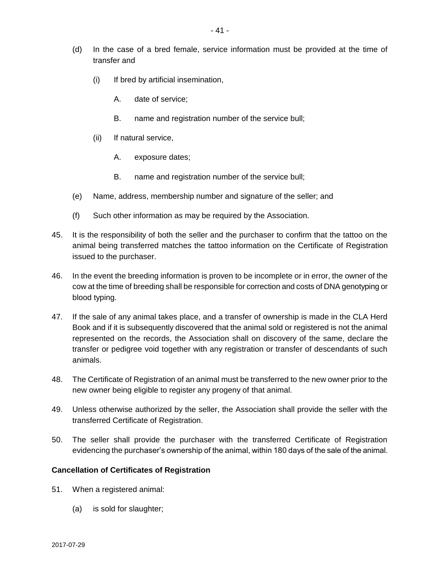- (d) In the case of a bred female, service information must be provided at the time of transfer and
	- (i) If bred by artificial insemination,
		- A. date of service;
		- B. name and registration number of the service bull;
	- (ii) If natural service,
		- A. exposure dates;
		- B. name and registration number of the service bull;
- (e) Name, address, membership number and signature of the seller; and
- (f) Such other information as may be required by the Association.
- 45. It is the responsibility of both the seller and the purchaser to confirm that the tattoo on the animal being transferred matches the tattoo information on the Certificate of Registration issued to the purchaser.
- 46. In the event the breeding information is proven to be incomplete or in error, the owner of the cow at the time of breeding shall be responsible for correction and costs of DNA genotyping or blood typing.
- 47. If the sale of any animal takes place, and a transfer of ownership is made in the CLA Herd Book and if it is subsequently discovered that the animal sold or registered is not the animal represented on the records, the Association shall on discovery of the same, declare the transfer or pedigree void together with any registration or transfer of descendants of such animals.
- 48. The Certificate of Registration of an animal must be transferred to the new owner prior to the new owner being eligible to register any progeny of that animal.
- 49. Unless otherwise authorized by the seller, the Association shall provide the seller with the transferred Certificate of Registration.
- 50. The seller shall provide the purchaser with the transferred Certificate of Registration evidencing the purchaser's ownership of the animal, within 180 days of the sale of the animal.

#### **Cancellation of Certificates of Registration**

- 51. When a registered animal:
	- (a) is sold for slaughter;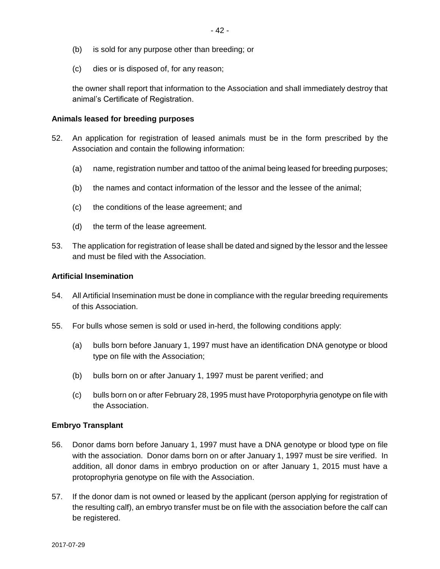- (b) is sold for any purpose other than breeding; or
- (c) dies or is disposed of, for any reason;

the owner shall report that information to the Association and shall immediately destroy that animal's Certificate of Registration.

### **Animals leased for breeding purposes**

- 52. An application for registration of leased animals must be in the form prescribed by the Association and contain the following information:
	- (a) name, registration number and tattoo of the animal being leased for breeding purposes;
	- (b) the names and contact information of the lessor and the lessee of the animal;
	- (c) the conditions of the lease agreement; and
	- (d) the term of the lease agreement.
- 53. The application for registration of lease shall be dated and signed by the lessor and the lessee and must be filed with the Association.

#### **Artificial Insemination**

- 54. All Artificial Insemination must be done in compliance with the regular breeding requirements of this Association.
- 55. For bulls whose semen is sold or used in-herd, the following conditions apply:
	- (a) bulls born before January 1, 1997 must have an identification DNA genotype or blood type on file with the Association;
	- (b) bulls born on or after January 1, 1997 must be parent verified; and
	- (c) bulls born on or after February 28, 1995 must have Protoporphyria genotype on file with the Association.

#### **Embryo Transplant**

- 56. Donor dams born before January 1, 1997 must have a DNA genotype or blood type on file with the association. Donor dams born on or after January 1, 1997 must be sire verified. In addition, all donor dams in embryo production on or after January 1, 2015 must have a protoprophyria genotype on file with the Association.
- 57. If the donor dam is not owned or leased by the applicant (person applying for registration of the resulting calf), an embryo transfer must be on file with the association before the calf can be registered.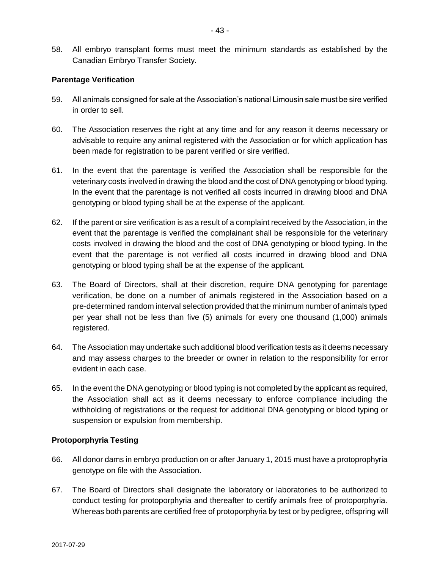58. All embryo transplant forms must meet the minimum standards as established by the Canadian Embryo Transfer Society.

### **Parentage Verification**

- 59. All animals consigned for sale at the Association's national Limousin sale must be sire verified in order to sell.
- 60. The Association reserves the right at any time and for any reason it deems necessary or advisable to require any animal registered with the Association or for which application has been made for registration to be parent verified or sire verified.
- 61. In the event that the parentage is verified the Association shall be responsible for the veterinary costs involved in drawing the blood and the cost of DNA genotyping or blood typing. In the event that the parentage is not verified all costs incurred in drawing blood and DNA genotyping or blood typing shall be at the expense of the applicant.
- 62. If the parent or sire verification is as a result of a complaint received by the Association, in the event that the parentage is verified the complainant shall be responsible for the veterinary costs involved in drawing the blood and the cost of DNA genotyping or blood typing. In the event that the parentage is not verified all costs incurred in drawing blood and DNA genotyping or blood typing shall be at the expense of the applicant.
- <span id="page-42-1"></span>63. The Board of Directors, shall at their discretion, require DNA genotyping for parentage verification, be done on a number of animals registered in the Association based on a pre-determined random interval selection provided that the minimum number of animals typed per year shall not be less than five (5) animals for every one thousand (1,000) animals registered.
- 64. The Association may undertake such additional blood verification tests as it deems necessary and may assess charges to the breeder or owner in relation to the responsibility for error evident in each case.
- 65. In the event the DNA genotyping or blood typing is not completed by the applicant as required, the Association shall act as it deems necessary to enforce compliance including the withholding of registrations or the request for additional DNA genotyping or blood typing or suspension or expulsion from membership.

## **Protoporphyria Testing**

- 66. All donor dams in embryo production on or after January 1, 2015 must have a protoprophyria genotype on file with the Association.
- <span id="page-42-0"></span>67. The Board of Directors shall designate the laboratory or laboratories to be authorized to conduct testing for protoporphyria and thereafter to certify animals free of protoporphyria. Whereas both parents are certified free of protoporphyria by test or by pedigree, offspring will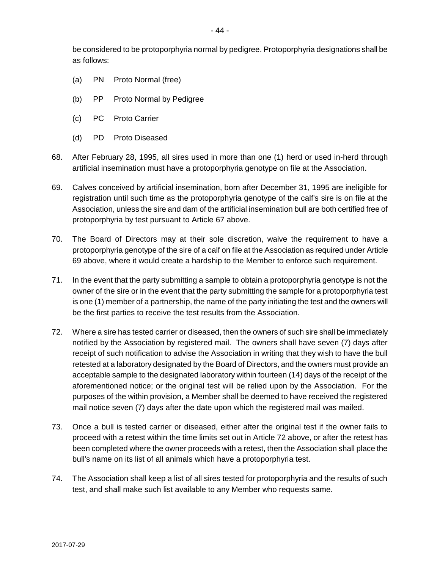be considered to be protoporphyria normal by pedigree. Protoporphyria designations shall be as follows:

- (a) PN Proto Normal (free)
- (b) PP Proto Normal by Pedigree
- (c) PC Proto Carrier
- (d) PD Proto Diseased
- 68. After February 28, 1995, all sires used in more than one (1) herd or used in-herd through artificial insemination must have a protoporphyria genotype on file at the Association.
- <span id="page-43-0"></span>69. Calves conceived by artificial insemination, born after December 31, 1995 are ineligible for registration until such time as the protoporphyria genotype of the calf's sire is on file at the Association, unless the sire and dam of the artificial insemination bull are both certified free of protoporphyria by test pursuant to Article [67](#page-42-0) above.
- 70. The Board of Directors may at their sole discretion, waive the requirement to have a protoporphyria genotype of the sire of a calf on file at the Association as required under Article [69](#page-43-0) above, where it would create a hardship to the Member to enforce such requirement.
- 71. In the event that the party submitting a sample to obtain a protoporphyria genotype is not the owner of the sire or in the event that the party submitting the sample for a protoporphyria test is one (1) member of a partnership, the name of the party initiating the test and the owners will be the first parties to receive the test results from the Association.
- <span id="page-43-1"></span>72. Where a sire has tested carrier or diseased, then the owners of such sire shall be immediately notified by the Association by registered mail. The owners shall have seven (7) days after receipt of such notification to advise the Association in writing that they wish to have the bull retested at a laboratory designated by the Board of Directors, and the owners must provide an acceptable sample to the designated laboratory within fourteen (14) days of the receipt of the aforementioned notice; or the original test will be relied upon by the Association. For the purposes of the within provision, a Member shall be deemed to have received the registered mail notice seven (7) days after the date upon which the registered mail was mailed.
- 73. Once a bull is tested carrier or diseased, either after the original test if the owner fails to proceed with a retest within the time limits set out in Article [72](#page-43-1) above, or after the retest has been completed where the owner proceeds with a retest, then the Association shall place the bull's name on its list of all animals which have a protoporphyria test.
- 74. The Association shall keep a list of all sires tested for protoporphyria and the results of such test, and shall make such list available to any Member who requests same.